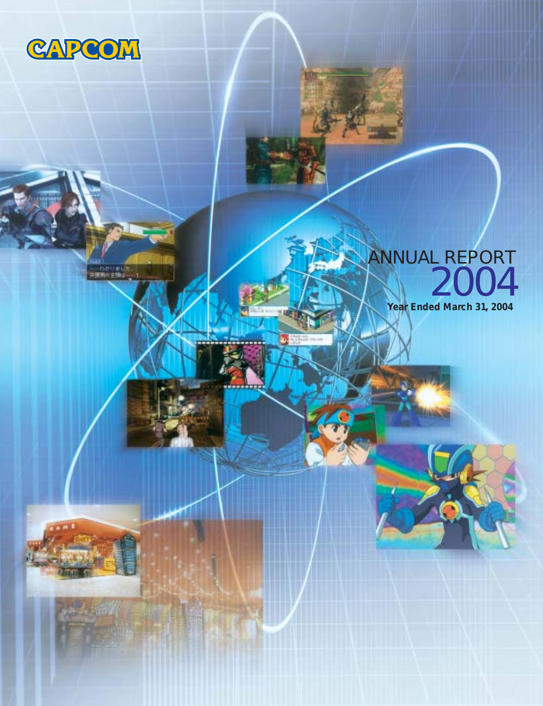

……わかりまし<br>・原則の主張」

# ANNUAL REPORT 2004

**Year Ended March 31, 2004**

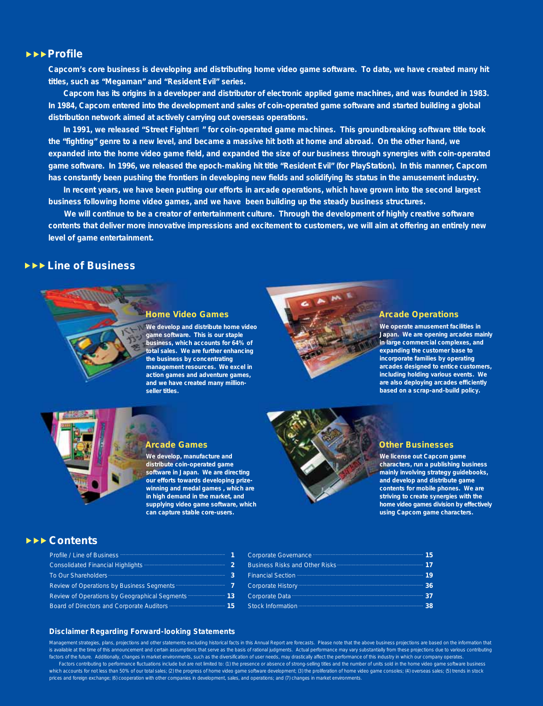#### **Profile**

**Capcom's core business is developing and distributing home video game software. To date, we have created many hit titles, such as "Megaman" and "Resident Evil" series.**

 **Capcom has its origins in a developer and distributor of electronic applied game machines, and was founded in 1983. In 1984, Capcom entered into the development and sales of coin-operated game software and started building a global distribution network aimed at actively carrying out overseas operations.**

 **In 1991, we released "Street Fighter " for coin-operated game machines. This groundbreaking software title took the "fighting" genre to a new level, and became a massive hit both at home and abroad. On the other hand, we expanded into the home video game field, and expanded the size of our business through synergies with coin-operated game software. In 1996, we released the epoch-making hit title "Resident Evil" (for PlayStation). In this manner, Capcom has constantly been pushing the frontiers in developing new fields and solidifying its status in the amusement industry.**

 **In recent years, we have been putting our efforts in arcade operations, which have grown into the second largest business following home video games, and we have been building up the steady business structures.** 

 **We will continue to be a creator of entertainment culture. Through the development of highly creative software contents that deliver more innovative impressions and excitement to customers, we will aim at offering an entirely new level of game entertainment.**

#### **Line of Business**



#### **Home Video Games**

**We develop and distribute home video game software. This is our staple business, which accounts for 64% of total sales. We are further enhancing the business by concentrating management resources. We excel in action games and adventure games, and we have created many millionseller titles.**



#### **Arcade Operations**

**We operate amusement facilities in Japan. We are opening arcades mainly in large commercial complexes, and expanding the customer base to incorporate families by operating arcades designed to entice customers, including holding various events. We are also deploying arcades efficiently based on a scrap-and-build policy.**



#### **Arcade Games**

**We develop, manufacture and distribute coin-operated game software in Japan. We are directing our efforts towards developing prizewinning and medal games , which are in high demand in the market, and supplying video game software, which can capture stable core-users.**



#### **Other Businesses**

**We license out Capcom game characters, run a publishing business mainly involving strategy guidebooks, and develop and distribute game contents for mobile phones. We are striving to create synergies with the home video games division by effectively using Capcom game characters.**

#### **Contents**

| Profile / Line of Business                    |    |
|-----------------------------------------------|----|
| <b>Consolidated Financial Highlights</b>      | 2  |
| <b>To Our Shareholders</b>                    | 3  |
| Review of Operations by Business Segments     | 7  |
| Review of Operations by Geographical Segments | 13 |
| Board of Directors and Corporate Auditors     | 15 |

| <b>Corporate Governance</b>            |     |  |
|----------------------------------------|-----|--|
| <b>Business Risks and Other Risks:</b> |     |  |
| <b>Financial Section</b>               | 19  |  |
| Corporate History                      | 36  |  |
| Corporate Data                         | 37  |  |
| <b>Stock Information</b>               | 38. |  |

#### **Disclaimer Regarding Forward-looking Statements**

Management strategies, plans, projections and other statements excluding historical facts in this Annual Report are forecasts. Please note that the above business projections are based on the information that e at the time of this announcement and certain assumptions that serve as the basis of rational judgments. Actual performance may vary substantially from these projections due to various contributing factors of the future. Additionally, changes in market environments, such as the diversification of user needs, may drastically affect the performance of this industry in which our company operates. Factors contributing to performance fluctuations include but are not limited to: (1) the presence or absence of strong-selling titles and the number of units sold in the home video game software business which accounts for not less than 50% of our total sales; (2) the progress of home video game software development; (3) the proliferation of home video game consoles; (4) overseas sales; (5) trends in stock prices and foreign exchange; (6) cooperation with other companies in development, sales, and operations; and (7) changes in market environments.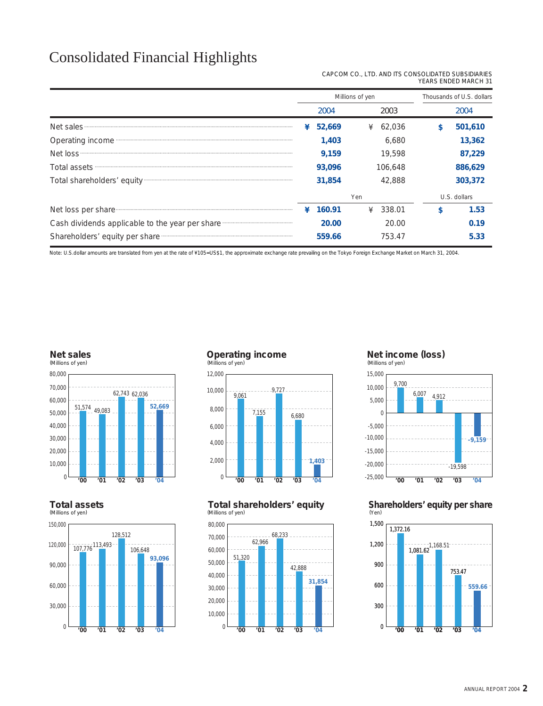### Consolidated Financial Highlights

| CAPCOM CO., LTD. AND ITS CONSOLIDATED SUBSIDIARIES |  |                      |  |
|----------------------------------------------------|--|----------------------|--|
|                                                    |  | YEARS ENDED MARCH 31 |  |

|                                                                                                                                                                                                                                      |                                                                                    |             | Millions of yen                                                     | Thousands of U.S. dollars                                  |
|--------------------------------------------------------------------------------------------------------------------------------------------------------------------------------------------------------------------------------------|------------------------------------------------------------------------------------|-------------|---------------------------------------------------------------------|------------------------------------------------------------|
|                                                                                                                                                                                                                                      |                                                                                    | 2004        | 2003                                                                | 2004                                                       |
| Net sales <b>Executive Contract of the Street Street</b> Section 2014 and 2014 and 2014 and 2014 and 2014 and 2014 and 2014 and 2014 and 2014 and 2014 and 2014 and 2014 and 2014 and 2014 and 2014 and 2014 and 2014 and 2014 and   |                                                                                    | 52,669<br>¥ | ¥ 62,036                                                            | 501,610<br>\$                                              |
| Operating income manufactured and a proportional contract of the state of the state of the state of the state of the state of the state of the state of the state of the state of the state of the state of the state of the s       |                                                                                    | 1,403       | 6,680                                                               | 13,362                                                     |
|                                                                                                                                                                                                                                      |                                                                                    | 9,159       | 19,598                                                              | 87,229                                                     |
| Total assets <b>with a set of the contract of the contract of the contract of the contract of the contract of the contract of the contract of the contract of the contract of the contract of the contract of the contract of th</b> |                                                                                    | 93,096      | 106,648                                                             | 886,629                                                    |
|                                                                                                                                                                                                                                      |                                                                                    | 31,854      | 42,888                                                              | 303,372                                                    |
|                                                                                                                                                                                                                                      |                                                                                    |             | Yen                                                                 | U.S. dollars                                               |
| Net loss per share                                                                                                                                                                                                                   |                                                                                    | 160.91<br>¥ | 338.01<br>¥                                                         | \$<br>1.53                                                 |
| Cash dividends applicable to the year per share manufactured and contain the cash dividends applicable to the year per share                                                                                                         |                                                                                    | 20.00       | 20.00                                                               | 0.19                                                       |
| Shareholders' equity per share manufactured and an anti-                                                                                                                                                                             |                                                                                    | 559.66      | 753.47                                                              | 5.33                                                       |
| <b>Net sales</b><br>(Millions of yen)<br>80,000<br>70,000<br>62,743 62,036                                                                                                                                                           | <b>Operating income</b><br>(Millions of yen)<br>12,000<br>9.727<br>10,000<br>9,061 |             | Net income (loss)<br>(Millions of yen)<br>15,000<br>9,700<br>10,000 | 6,007<br>4,912                                             |
| 60,000<br>52,669<br>51,574 49,083<br>50,000<br>40,000<br>30,000                                                                                                                                                                      | 8,000<br>7,155<br>6,000<br>4,000                                                   | 6,680       | 5,000<br>$\mathbf 0$<br>$-5,000$<br>$-10,000$                       | $-9,159$                                                   |
| 20,000<br>10,000                                                                                                                                                                                                                     | 2,000                                                                              | 1,403       | $-15,000$<br>$-20,000$                                              | $-19,598$                                                  |
| $\mathbf 0$<br>'00<br>'01<br>'02<br>'03<br>'04<br><b>Total assets</b><br>(Millions of yen)                                                                                                                                           | 0<br>'00<br>'01<br>'02<br>Total shareholders' equity<br>(Millions of yen)          | '03<br>'04  | $-25,000$<br>'00<br>(Yen)                                           | '03<br>'01<br>'02<br>'04<br>Shareholders' equity per share |
| 150,000                                                                                                                                                                                                                              | 80,000                                                                             |             | 1,500                                                               |                                                            |
| 128,512<br>120,000<br>107,776 113,493<br>106,648<br>93,096<br>90,000                                                                                                                                                                 | 68,233<br>70,000<br>62,966<br>60,000<br>51,320<br>50,000                           | 42,888      | 1,372.16<br>1,200<br>900                                            | $1,081.62$<br>1,081.62<br>753.47                           |
| 60,000                                                                                                                                                                                                                               | 40,000<br>30,000                                                                   | 31,854      | 600                                                                 | $559.66 -$                                                 |





#### **Total assets**

(Millions of yen)



### **Operating income** (Millions of yen)



#### **Total shareholders' equity** (Millions of yen)



#### **Net income (loss)** (Millions of yen)



#### **Shareholders' equity per share** (Yen)

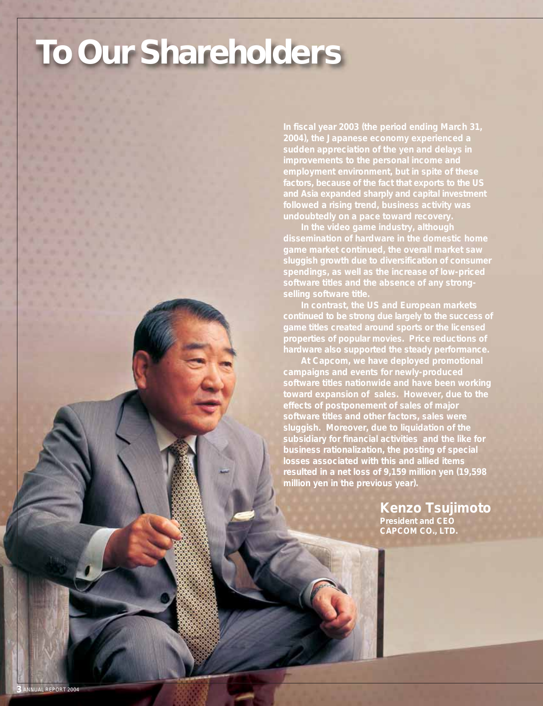# **To Our Shareholders**

**In fiscal year 2003 (the period ending March 31, 2004), the Japanese economy experienced a sudden appreciation of the yen and delays in employment environment, but in spite of these factors, because of the fact that exports to the US and Asia expanded sharply and capital investment followed a rising trend, business activity was undoubtedly on a pace toward recovery.**

 **In the video game industry, although game market continued, the overall market saw sluggish growth due to diversification of consumer spendings, as well as the increase of low-priced software titles and the absence of any strongselling software title.**

 **In contrast, the US and European markets game titles created around sports or the licensed properties of popular movies. Price reductions of hardware also supported the steady performance.**

 **At Capcom, we have deployed promotional campaigns and events for newly-produced software titles nationwide and have been working toward expansion of sales. However, due to the effects of postponement of sales of major software titles and other factors, sales were sluggish. Moreover, due to liquidation of the subsidiary for financial activities and the like for business rationalization, the posting of special losses associated with this and allied items resulted in a net loss of 9,159 million yen (19,598 million yen in the previous year).**

> **Kenzo Tsujimoto President and CEO CAPCOM CO., LTD.**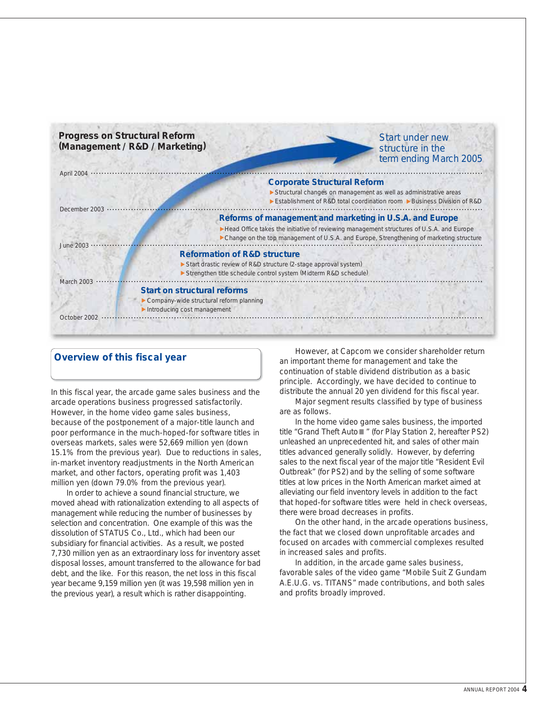

### **Overview of this fiscal year**

In this fiscal year, the arcade game sales business and the arcade operations business progressed satisfactorily. However, in the home video game sales business, because of the postponement of a major-title launch and poor performance in the much-hoped-for software titles in overseas markets, sales were 52,669 million yen (down 15.1% from the previous year). Due to reductions in sales, in-market inventory readjustments in the North American market, and other factors, operating profit was 1,403 million yen (down 79.0% from the previous year).

 In order to achieve a sound financial structure, we moved ahead with rationalization extending to all aspects of management while reducing the number of businesses by selection and concentration. One example of this was the dissolution of STATUS Co., Ltd., which had been our subsidiary for financial activities. As a result, we posted 7,730 million yen as an extraordinary loss for inventory asset disposal losses, amount transferred to the allowance for bad debt, and the like. For this reason, the net loss in this fiscal year became 9,159 million yen (it was 19,598 million yen in the previous year), a result which is rather disappointing.

 However, at Capcom we consider shareholder return an important theme for management and take the continuation of stable dividend distribution as a basic principle. Accordingly, we have decided to continue to distribute the annual 20 yen dividend for this fiscal year.

 Major segment results classified by type of business are as follows.

 In the home video game sales business, the imported title "Grand Theft Auto " (for Play Station 2, hereafter PS2) unleashed an unprecedented hit, and sales of other main titles advanced generally solidly. However, by deferring sales to the next fiscal year of the major title "Resident Evil Outbreak" (for PS2) and by the selling of some software titles at low prices in the North American market aimed at alleviating our field inventory levels in addition to the fact that hoped-for software titles were held in check overseas, there were broad decreases in profits.

 On the other hand, in the arcade operations business, the fact that we closed down unprofitable arcades and focused on arcades with commercial complexes resulted in increased sales and profits.

 In addition, in the arcade game sales business, favorable sales of the video game "Mobile Suit Z Gundam A.E.U.G. vs. TITANS" made contributions, and both sales and profits broadly improved.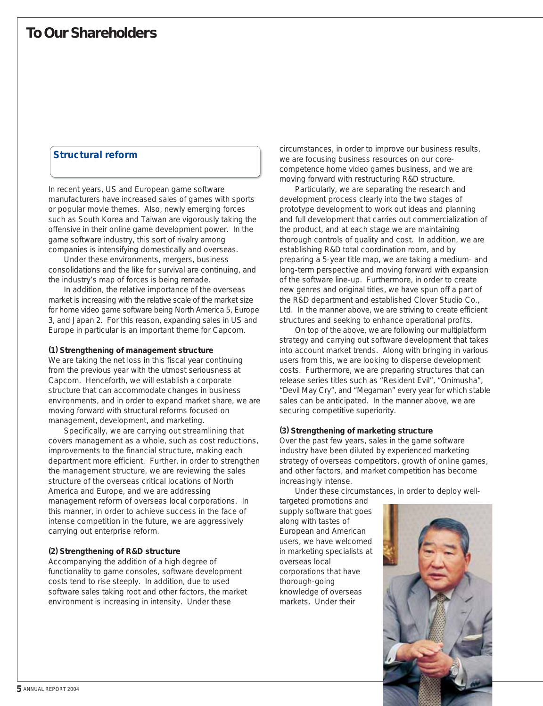### **Structural reform**

In recent years, US and European game software manufacturers have increased sales of games with sports or popular movie themes. Also, newly emerging forces such as South Korea and Taiwan are vigorously taking the offensive in their online game development power. In the game software industry, this sort of rivalry among companies is intensifying domestically and overseas.

 Under these environments, mergers, business consolidations and the like for survival are continuing, and the industry's map of forces is being remade.

 In addition, the relative importance of the overseas market is increasing with the relative scale of the market size for home video game software being North America 5, Europe 3, and Japan 2. For this reason, expanding sales in US and Europe in particular is an important theme for Capcom.

#### **(1) Strengthening of management structure**

We are taking the net loss in this fiscal year continuing from the previous year with the utmost seriousness at Capcom. Henceforth, we will establish a corporate structure that can accommodate changes in business environments, and in order to expand market share, we are moving forward with structural reforms focused on management, development, and marketing.

 Specifically, we are carrying out streamlining that covers management as a whole, such as cost reductions, improvements to the financial structure, making each department more efficient. Further, in order to strengthen the management structure, we are reviewing the sales structure of the overseas critical locations of North America and Europe, and we are addressing management reform of overseas local corporations. In this manner, in order to achieve success in the face of intense competition in the future, we are aggressively carrying out enterprise reform.

#### **(2) Strengthening of R&D structure**

Accompanying the addition of a high degree of functionality to game consoles, software development costs tend to rise steeply. In addition, due to used software sales taking root and other factors, the market environment is increasing in intensity. Under these

circumstances, in order to improve our business results, we are focusing business resources on our corecompetence home video games business, and we are moving forward with restructuring R&D structure.

 Particularly, we are separating the research and development process clearly into the two stages of prototype development to work out ideas and planning and full development that carries out commercialization of the product, and at each stage we are maintaining thorough controls of quality and cost. In addition, we are establishing R&D total coordination room, and by preparing a 5-year title map, we are taking a medium- and long-term perspective and moving forward with expansion of the software line-up. Furthermore, in order to create new genres and original titles, we have spun off a part of the R&D department and established Clover Studio Co., Ltd. In the manner above, we are striving to create efficient structures and seeking to enhance operational profits.

 On top of the above, we are following our multiplatform strategy and carrying out software development that takes into account market trends. Along with bringing in various users from this, we are looking to disperse development costs. Furthermore, we are preparing structures that can release series titles such as "Resident Evil", "Onimusha", "Devil May Cry", and "Megaman" every year for which stable sales can be anticipated. In the manner above, we are securing competitive superiority.

#### **(3) Strengthening of marketing structure**

Over the past few years, sales in the game software industry have been diluted by experienced marketing strategy of overseas competitors, growth of online games, and other factors, and market competition has become increasingly intense.

Under these circumstances, in order to deploy well-

targeted promotions and supply software that goes along with tastes of European and American users, we have welcomed in marketing specialists at overseas local corporations that have thorough-going knowledge of overseas markets. Under their

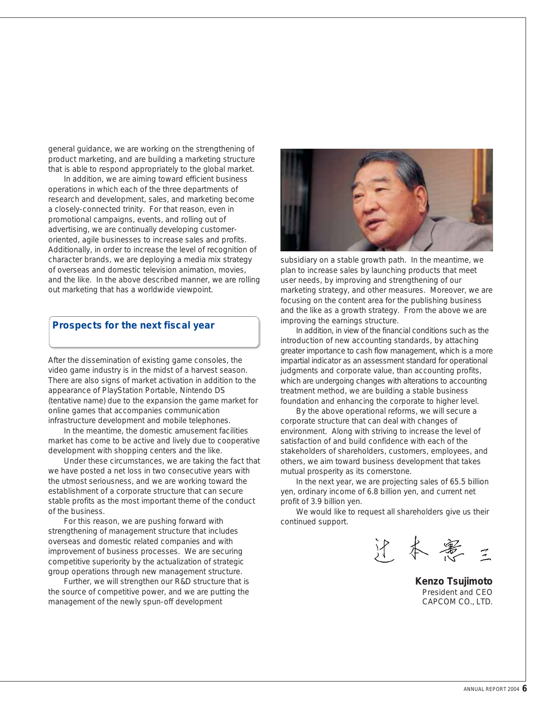general guidance, we are working on the strengthening of product marketing, and are building a marketing structure that is able to respond appropriately to the global market.

 In addition, we are aiming toward efficient business operations in which each of the three departments of research and development, sales, and marketing become a closely-connected trinity. For that reason, even in promotional campaigns, events, and rolling out of advertising, we are continually developing customeroriented, agile businesses to increase sales and profits. Additionally, in order to increase the level of recognition of character brands, we are deploying a media mix strategy of overseas and domestic television animation, movies, and the like. In the above described manner, we are rolling out marketing that has a worldwide viewpoint.

#### **Prospects for the next fiscal year**

After the dissemination of existing game consoles, the video game industry is in the midst of a harvest season. There are also signs of market activation in addition to the appearance of PlayStation Portable, Nintendo DS (tentative name) due to the expansion the game market for online games that accompanies communication infrastructure development and mobile telephones.

 In the meantime, the domestic amusement facilities market has come to be active and lively due to cooperative development with shopping centers and the like.

 Under these circumstances, we are taking the fact that we have posted a net loss in two consecutive years with the utmost seriousness, and we are working toward the establishment of a corporate structure that can secure stable profits as the most important theme of the conduct of the business.

 For this reason, we are pushing forward with strengthening of management structure that includes overseas and domestic related companies and with improvement of business processes. We are securing competitive superiority by the actualization of strategic group operations through new management structure.

 Further, we will strengthen our R&D structure that is the source of competitive power, and we are putting the management of the newly spun-off development



subsidiary on a stable growth path. In the meantime, we plan to increase sales by launching products that meet user needs, by improving and strengthening of our marketing strategy, and other measures. Moreover, we are focusing on the content area for the publishing business and the like as a growth strategy. From the above we are improving the earnings structure.

 In addition, in view of the financial conditions such as the introduction of new accounting standards, by attaching greater importance to cash flow management, which is a more impartial indicator as an assessment standard for operational judgments and corporate value, than accounting profits, which are undergoing changes with alterations to accounting treatment method, we are building a stable business foundation and enhancing the corporate to higher level.

 By the above operational reforms, we will secure a corporate structure that can deal with changes of environment. Along with striving to increase the level of satisfaction of and build confidence with each of the stakeholders of shareholders, customers, employees, and others, we aim toward business development that takes mutual prosperity as its cornerstone.

 In the next year, we are projecting sales of 65.5 billion yen, ordinary income of 6.8 billion yen, and current net profit of 3.9 billion yen.

 We would like to request all shareholders give us their continued support.

沪本憲

**Kenzo Tsujimoto** President and CEO CAPCOM CO., LTD.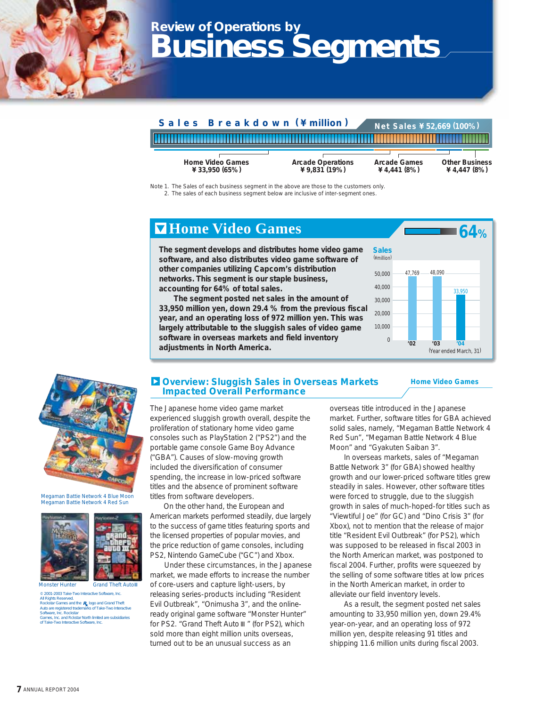## **Review of Operations by Business Segments**



Note 1. The Sales of each business segment in the above are those to the customers only.

2. The sales of each business segment below are inclusive of inter-segment ones.

### **Home Video Games**

**The segment develops and distributes home video game software, and also distributes video game software of other companies utilizing Capcom's distribution networks. This segment is our staple business, accounting for 64% of total sales.**

 **The segment posted net sales in the amount of 33,950 million yen, down 29.4 % from the previous fiscal year, and an operating loss of 972 million yen. This was largely attributable to the sluggish sales of video game software in overseas markets and field inventory adjustments in North America.**



**Home Video Games** 



Megaman Battie Network 4 Blue Moon Megaman Battie Network 4 Red Sun





Monster Hunter Grand Theft Auto

© 2001-2003 Take-Two Interactive Software, Inc. All Rights Reserved. Rockstar Games and the **R**, logo and Grand Theft<br>Auto are registered trademarks of Take-Two Interactive Software, Inc. Rockstar Games, Inc. and Rckstar North limited are subsidiaries of Take-Two Interactive Software, Inc.

#### **Overview: Sluggish Sales in Overseas Markets Impacted Overall Performance**

overseas title introduced in the Japanese market. Further, software titles for GBA achieved solid sales, namely, "Megaman Battle Network 4 Red Sun", "Megaman Battle Network 4 Blue Moon" and "Gyakuten Saiban 3".

 In overseas markets, sales of "Megaman Battle Network 3" (for GBA) showed healthy growth and our lower-priced software titles grew steadily in sales. However, other software titles were forced to struggle, due to the sluggish growth in sales of much-hoped-for titles such as "Viewtiful Joe" (for GC) and "Dino Crisis 3" (for Xbox), not to mention that the release of major title "Resident Evil Outbreak" (for PS2), which was supposed to be released in fiscal 2003 in the North American market, was postponed to fiscal 2004. Further, profits were squeezed by the selling of some software titles at low prices in the North American market, in order to alleviate our field inventory levels.

 As a result, the segment posted net sales amounting to 33,950 million yen, down 29.4% year-on-year, and an operating loss of 972 million yen, despite releasing 91 titles and shipping 11.6 million units during fiscal 2003.

The Japanese home video game market experienced sluggish growth overall, despite the proliferation of stationary home video game consoles such as PlayStation 2 ("PS2") and the portable game console Game Boy Advance ("GBA"). Causes of slow-moving growth included the diversification of consumer

spending, the increase in low-priced software titles and the absence of prominent software titles from software developers.

 On the other hand, the European and American markets performed steadily, due largely to the success of game titles featuring sports and the licensed properties of popular movies, and the price reduction of game consoles, including PS2, Nintendo GameCube ("GC") and Xbox.

 Under these circumstances, in the Japanese market, we made efforts to increase the number of core-users and capture light-users, by releasing series-products including "Resident Evil Outbreak", "Onimusha 3", and the onlineready original game software "Monster Hunter" for PS2. "Grand Theft Auto " (for PS2), which sold more than eight million units overseas, turned out to be an unusual success as an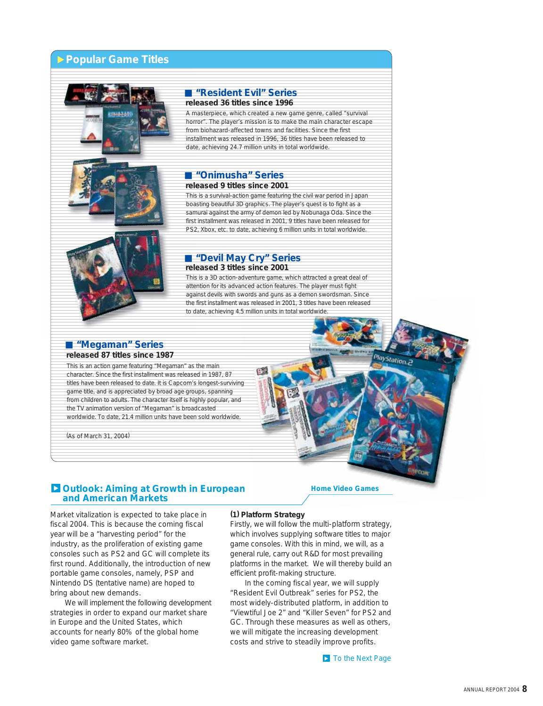#### **Popular Game Titles**





#### **"Resident Evil" Series released 36 titles since 1996**

A masterpiece, which created a new game genre, called "survival horror". The player's mission is to make the main character escape from biohazard-affected towns and facilities. Since the first installment was released in 1996, 36 titles have been released to date, achieving 24.7 million units in total worldwide.

#### **"Onimusha" Series released 9 titles since 2001**

This is a survival-action game featuring the civil war period in Japan boasting beautiful 3D graphics. The player's quest is to fight as a samurai against the army of demon led by Nobunaga Oda. Since the first installment was released in 2001, 9 titles have been released for PS2, Xbox, etc. to date, achieving 6 million units in total worldwide.

#### **"Devil May Cry" Series released 3 titles since 2001**

This is a 3D action-adventure game, which attracted a great deal of attention for its advanced action features. The player must fight against devils with swords and guns as a demon swordsman. Since the first installment was released in 2001, 3 titles have been released to date, achieving 4.5 million units in total worldwide.

#### **"Megaman" Series released 87 titles since 1987**

This is an action game featuring "Megaman" as the main character. Since the first installment was released in 1987, 87 titles have been released to date. It is Capcom's longest-surviving game title, and is appreciated by broad age groups, spanning from children to adults. The character itself is highly popular, and the TV animation version of "Megaman" is broadcasted worldwide. To date, 21.4 million units have been sold worldwide.

(As of March 31, 2004)

#### **Outlook: Aiming at Growth in European and American Markets**

**Home Video Games** 

layStation.c

Market vitalization is expected to take place in fiscal 2004. This is because the coming fiscal year will be a "harvesting period" for the industry, as the proliferation of existing game consoles such as PS2 and GC will complete its first round. Additionally, the introduction of new portable game consoles, namely, PSP and Nintendo DS (tentative name) are hoped to bring about new demands.

 We will implement the following development strategies in order to expand our market share in Europe and the United States, which accounts for nearly 80% of the global home video game software market.

#### **(1) Platform Strategy**

Firstly, we will follow the multi-platform strategy, which involves supplying software titles to major game consoles. With this in mind, we will, as a general rule, carry out R&D for most prevailing platforms in the market. We will thereby build an efficient profit-making structure.

 In the coming fiscal year, we will supply "Resident Evil Outbreak" series for PS2, the most widely-distributed platform, in addition to "Viewtiful Joe 2" and "Killer Seven" for PS2 and GC. Through these measures as well as others, we will mitigate the increasing development costs and strive to steadily improve profits.

**To the Next Page**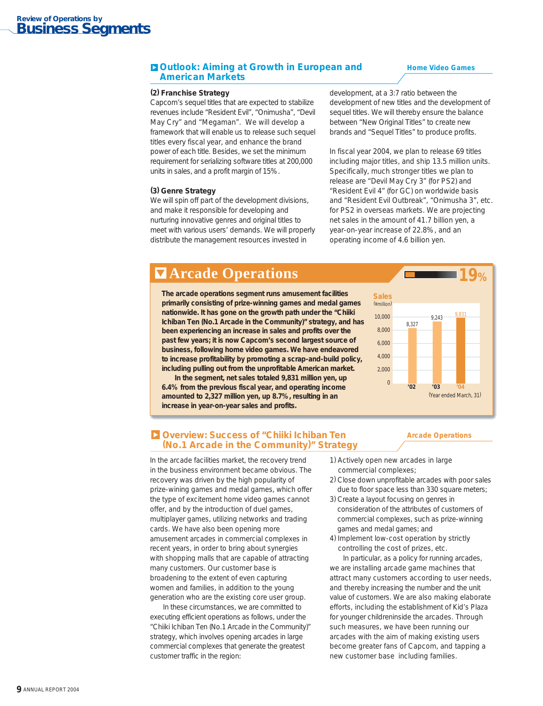#### **Outlook: Aiming at Growth in European and American Markets**

#### **Home Video Games**

#### **(2) Franchise Strategy**

Capcom's sequel titles that are expected to stabilize revenues include "Resident Evil", "Onimusha", "Devil May Cry" and "Megaman". We will develop a framework that will enable us to release such sequel titles every fiscal year, and enhance the brand power of each title. Besides, we set the minimum requirement for serializing software titles at 200,000 units in sales, and a profit margin of 15%.

#### **(3) Genre Strategy**

We will spin off part of the development divisions, and make it responsible for developing and nurturing innovative genres and original titles to meet with various users' demands. We will properly distribute the management resources invested in

development, at a 3:7 ratio between the development of new titles and the development of sequel titles. We will thereby ensure the balance between "New Original Titles" to create new brands and "Sequel Titles" to produce profits.

In fiscal year 2004, we plan to release 69 titles including major titles, and ship 13.5 million units. Specifically, much stronger titles we plan to release are "Devil May Cry 3" (for PS2) and "Resident Evil 4" (for GC) on worldwide basis and "Resident Evil Outbreak", "Onimusha 3", etc. for PS2 in overseas markets. We are projecting net sales in the amount of 41.7 billion yen, a year-on-year increase of 22.8%, and an operating income of 4.6 billion yen.

### **Arcade Operations**

**The arcade operations segment runs amusement facilities primarily consisting of prize-winning games and medal games nationwide. It has gone on the growth path under the "Chiiki Ichiban Ten (No.1 Arcade in the Community)" strategy, and has been experiencing an increase in sales and profits over the past few years; it is now Capcom's second largest source of business, following home video games. We have endeavored to increase profitability by promoting a scrap-and-build policy, including pulling out from the unprofitable American market.** 

 **In the segment, net sales totaled 9,831 million yen, up 6.4% from the previous fiscal year, and operating income amounted to 2,327 million yen, up 8.7%, resulting in an increase in year-on-year sales and profits.**



**Arcade Operations**

#### **Overview: Success of "Chiiki Ichiban Ten (No.1 Arcade in the Community)" Strategy**

In the arcade facilities market, the recovery trend in the business environment became obvious. The recovery was driven by the high popularity of prize-wining games and medal games, which offer the type of excitement home video games cannot offer, and by the introduction of duel games, multiplayer games, utilizing networks and trading cards. We have also been opening more amusement arcades in commercial complexes in recent years, in order to bring about synergies with shopping malls that are capable of attracting many customers. Our customer base is broadening to the extent of even capturing women and families, in addition to the young generation who are the existing core user group.

 In these circumstances, we are committed to executing efficient operations as follows, under the "Chiiki Ichiban Ten (No.1 Arcade in the Community)" strategy, which involves opening arcades in large commercial complexes that generate the greatest customer traffic in the region:

- 1) Actively open new arcades in large commercial complexes;
- 2) Close down unprofitable arcades with poor sales due to floor space less than 330 square meters;
- 3) Create a layout focusing on genres in consideration of the attributes of customers of commercial complexes, such as prize-winning games and medal games; and
- 4) Implement low-cost operation by strictly controlling the cost of prizes, etc.

 In particular, as a policy for running arcades, we are installing arcade game machines that attract many customers according to user needs, and thereby increasing the number and the unit value of customers. We are also making elaborate efforts, including the establishment of Kid's Plaza for younger childreninside the arcades. Through such measures, we have been running our arcades with the aim of making existing users become greater fans of Capcom, and tapping a new customer base including families.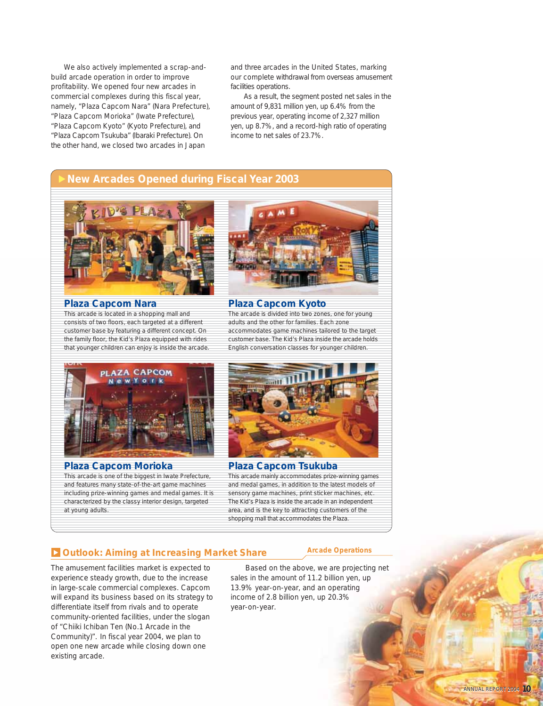We also actively implemented a scrap-andbuild arcade operation in order to improve profitability. We opened four new arcades in commercial complexes during this fiscal year, namely, "Plaza Capcom Nara" (Nara Prefecture), "Plaza Capcom Morioka" (Iwate Prefecture), "Plaza Capcom Kyoto" (Kyoto Prefecture), and "Plaza Capcom Tsukuba" (Ibaraki Prefecture). On the other hand, we closed two arcades in Japan

and three arcades in the United States, marking our complete withdrawal from overseas amusement facilities operations.

 As a result, the segment posted net sales in the amount of 9,831 million yen, up 6.4% from the previous year, operating income of 2,327 million yen, up 8.7%, and a record-high ratio of operating income to net sales of 23.7%.

### **New Arcades Opened during Fiscal Year 2003**



This arcade is located in a shopping mall and consists of two floors, each targeted at a different customer base by featuring a different concept. On the family floor, the Kid's Plaza equipped with rides that younger children can enjoy is inside the arcade. **Plaza Capcom Nara**



#### **Plaza Capcom Kyoto**

The arcade is divided into two zones, one for young adults and the other for families. Each zone accommodates game machines tailored to the target customer base. The Kid's Plaza inside the arcade holds English conversation classes for younger children.



This arcade is one of the biggest in Iwate Prefecture, and features many state-of-the-art game machines including prize-winning games and medal games. It is characterized by the classy interior design, targeted at young adults. **Plaza Capcom Morioka**



This arcade mainly accommodates prize-winning games and medal games, in addition to the latest models of sensory game machines, print sticker machines, etc. The Kid's Plaza is inside the arcade in an independent area, and is the key to attracting customers of the shopping mall that accommodates the Plaza. **Plaza Capcom Tsukuba** 

#### **D** Outlook: Aiming at Increasing Market Share *Arcade Operations*

The amusement facilities market is expected to experience steady growth, due to the increase in large-scale commercial complexes. Capcom will expand its business based on its strategy to differentiate itself from rivals and to operate community-oriented facilities, under the slogan of "Chiiki Ichiban Ten (No.1 Arcade in the Community)". In fiscal year 2004, we plan to open one new arcade while closing down one existing arcade.

 Based on the above, we are projecting net sales in the amount of 11.2 billion yen, up 13.9% year-on-year, and an operating income of 2.8 billion yen, up 20.3% year-on-year.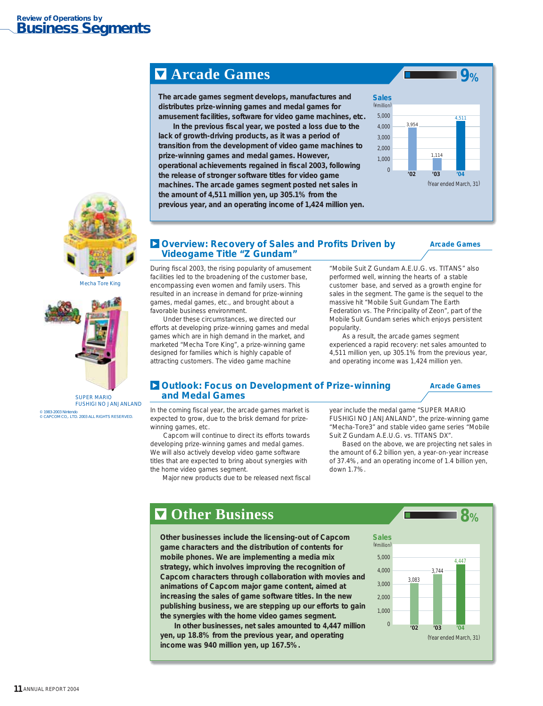### **Arcade Games**

**The arcade games segment develops, manufactures and distributes prize-winning games and medal games for amusement facilities, software for video game machines, etc.** 

 **In the previous fiscal year, we posted a loss due to the lack of growth-driving products, as it was a period of transition from the development of video game machines to prize-winning games and medal games. However, operational achievements regained in fiscal 2003, following the release of stronger software titles for video game machines. The arcade games segment posted net sales in the amount of 4,511 million yen, up 305.1% from the previous year, and an operating income of 1,424 million yen.**



#### **Overview: Recovery of Sales and Profits Driven by Videogame Title "Z Gundam"**

**Arcade Games**

During fiscal 2003, the rising popularity of amusement facilities led to the broadening of the customer base, encompassing even women and family users. This resulted in an increase in demand for prize-winning games, medal games, etc., and brought about a favorable business environment.

 Under these circumstances, we directed our efforts at developing prize-winning games and medal games which are in high demand in the market, and marketed "Mecha Tore King", a prize-winning game designed for families which is highly capable of attracting customers. The video game machine

"Mobile Suit Z Gundam A.E.U.G. vs. TITANS" also performed well, winning the hearts of a stable customer base, and served as a growth engine for sales in the segment. The game is the sequel to the massive hit "Mobile Suit Gundam The Earth Federation vs. The Principality of Zeon", part of the Mobile Suit Gundam series which enjoys persistent popularity.

 As a result, the arcade games segment experienced a rapid recovery: net sales amounted to 4,511 million yen, up 305.1% from the previous year, and operating income was 1,424 million yen.

#### **Outlook: Focus on Development of Prize-winning and Medal Games**

**Arcade Games**

In the coming fiscal year, the arcade games market is expected to grow, due to the brisk demand for prizewinning games, etc.

 Capcom will continue to direct its efforts towards developing prize-winning games and medal games. We will also actively develop video game software titles that are expected to bring about synergies with the home video games segment.

Major new products due to be released next fiscal

year include the medal game "SUPER MARIO FUSHIGI NO JANJANLAND", the prize-winning game "Mecha-Tore3" and stable video game series "Mobile Suit Z Gundam A.E.U.G. vs. TITANS DX".

 Based on the above, we are projecting net sales in the amount of 6.2 billion yen, a year-on-year increase of 37.4%, and an operating income of 1.4 billion yen, down 1.7%.

### **Other Business**

**Other businesses include the licensing-out of Capcom game characters and the distribution of contents for mobile phones. We are implementing a media mix strategy, which involves improving the recognition of Capcom characters through collaboration with movies and animations of Capcom major game content, aimed at increasing the sales of game software titles. In the new publishing business, we are stepping up our efforts to gain the synergies with the home video games segment.** 

 **In other businesses, net sales amounted to 4,447 million yen, up 18.8% from the previous year, and operating income was 940 million yen, up 167.5%.**





Mecha Tore King



SUPER MARIO FUSHIGI NO JANJANLAND

© 1983-2003 Nintendo © CAPCOM CO,. LTD. 2003 ALL RIGHTS RESERVED.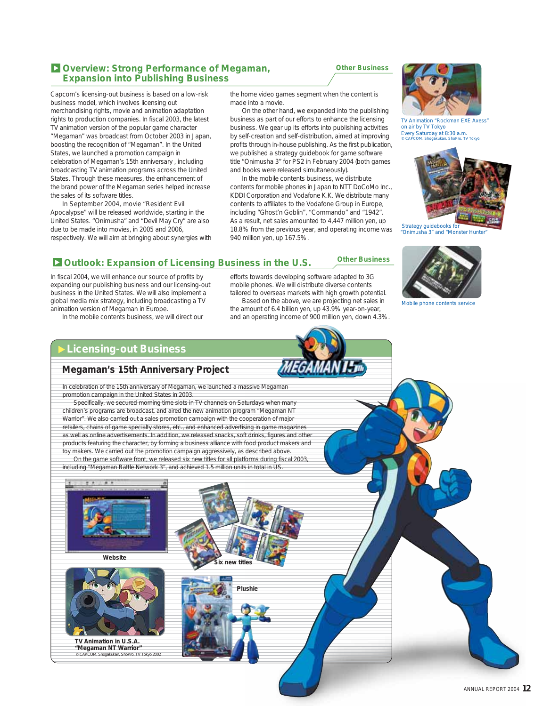#### **Overview: Strong Performance of Megaman, Expansion into Publishing Business**

Capcom's licensing-out business is based on a low-risk business model, which involves licensing out merchandising rights, movie and animation adaptation rights to production companies. In fiscal 2003, the latest TV animation version of the popular game character "Megaman" was broadcast from October 2003 in Japan, boosting the recognition of "Megaman". In the United States, we launched a promotion campaign in celebration of Megaman's 15th anniversary , including broadcasting TV animation programs across the United States. Through these measures, the enhancement of the brand power of the Megaman series helped increase the sales of its software titles.

 In September 2004, movie "Resident Evil Apocalypse" will be released worldwide, starting in the United States. "Onimusha" and "Devil May Cry" are also due to be made into movies, in 2005 and 2006, respectively. We will aim at bringing about synergies with the home video games segment when the content is made into a movie.

**Other Business**

 On the other hand, we expanded into the publishing business as part of our efforts to enhance the licensing business. We gear up its efforts into publishing activities by self-creation and self-distribution, aimed at improving profits through in-house publishing. As the first publication, we published a strategy guidebook for game software title "Onimusha 3" for PS2 in February 2004 (both games and books were released simultaneously).

 In the mobile contents business, we distribute contents for mobile phones in Japan to NTT DoCoMo Inc., KDDI Corporation and Vodafone K.K. We distribute many contents to affiliates to the Vodafone Group in Europe, including "Ghost'n Goblin", "Commando" and "1942". As a result, net sales amounted to 4,447 million yen, up 18.8% from the previous year, and operating income was 940 million yen, up 167.5%.

### **Outlook: Expansion of Licensing Business in the U.S. Cther Business**

In fiscal 2004, we will enhance our source of profits by expanding our publishing business and our licensing-out business in the United States. We will also implement a global media mix strategy, including broadcasting a TV animation version of Megaman in Europe.

In the mobile contents business, we will direct our

efforts towards developing software adapted to 3G mobile phones. We will distribute diverse contents tailored to overseas markets with high growth potential. Based on the above, we are projecting net sales in

the amount of 6.4 billion yen, up 43.9% year-on-year, and an operating income of 900 million yen, down 4.3%.



TV Animation "Rockman EXE Axess" on air by TV Tokyo Every Saturday at 8:30 a.m. © CAPCOM. Shogakukan. ShoPro. TV Tokyo



"Onimusha 3" and "Monster Hunter"



Mobile phone contents service

### **Licensing-out Business**

#### **Megaman's 15th Anniversary Project**

In celebration of the 15th anniversary of Megaman, we launched a massive Megaman promotion campaign in the United States in 2003.

 Specifically, we secured morning time slots in TV channels on Saturdays when many children's programs are broadcast, and aired the new animation program "Megaman NT Warrior". We also carried out a sales promotion campaign with the cooperation of major retailers, chains of game specialty stores, etc., and enhanced advertising in game magazines as well as online advertisements. In addition, we released snacks, soft drinks, figures and other products featuring the character, by forming a business alliance with food product makers and toy makers. We carried out the promotion campaign aggressively, as described above. On the game software front, we released six new titles for all platforms during fiscal 2003, including "Megaman Battle Network 3", and achieved 1.5 million units in total in US.



**Website**



**Plushie**

**Six new titles**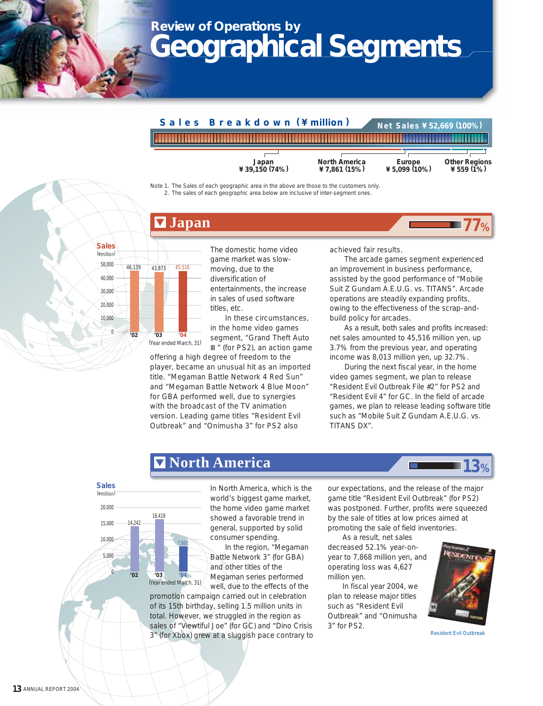## **Review of Operations by Geographical Segments**



Note 1. The Sales of each geographic area in the above are those to the customers only. 2. The sales of each geographic area below are inclusive of inter-segment ones.

### **Japan**



16,418

**'02 '03 '04**

14,242

7,868

The domestic home video game market was slowmoving, due to the diversification of entertainments, the increase in sales of used software titles, etc.

 In these circumstances, in the home video games segment, "Grand Theft Auto " (for PS2), an action game

offering a high degree of freedom to the player, became an unusual hit as an imported title. "Megaman Battle Network 4 Red Sun" and "Megaman Battle Network 4 Blue Moon" for GBA performed well, due to synergies with the broadcast of the TV animation version. Leading game titles "Resident Evil Outbreak" and "Onimusha 3" for PS2 also

**North America**

achieved fair results.

 The arcade games segment experienced an improvement in business performance, assisted by the good performance of "Mobile Suit Z Gundam A.E.U.G. vs. TITANS". Arcade operations are steadily expanding profits, owing to the effectiveness of the scrap-andbuild policy for arcades.

**77%**

 As a result, both sales and profits increased: net sales amounted to 45,516 million yen, up 3.7% from the previous year, and operating income was 8,013 million yen, up 32.7%.

 During the next fiscal year, in the home video games segment, we plan to release "Resident Evil Outbreak File #2" for PS2 and "Resident Evil 4" for GC. In the field of arcade games, we plan to release leading software title such as "Mobile Suit Z Gundam A.E.U.G. vs. TITANS DX".

## **13%**

(¥million) **Sales**

0

5,000 10,000 15,000 20,000

(¥million)

 $\cup$ 10,000 20,000 30,000 40,000

> In North America, which is the world's biggest game market, the home video game market showed a favorable trend in general, supported by solid consumer spending.

 In the region, "Megaman Battle Network 3" (for GBA) and other titles of the Megaman series performed

well, due to the effects of the promotion campaign carried out in celebration of its 15th birthday, selling 1.5 million units in total. However, we struggled in the region as sales of "Viewtiful Joe" (for GC) and "Dino Crisis 3" (for Xbox) grew at a sluggish pace contrary to (Year ended March, 31)

our expectations, and the release of the major game title "Resident Evil Outbreak" (for PS2) was postponed. Further, profits were squeezed by the sale of titles at low prices aimed at promoting the sale of field inventories.

 As a result, net sales decreased 52.1% year-onyear to 7,868 million yen, and operating loss was 4,627 million yen.

 In fiscal year 2004, we plan to release major titles such as "Resident Evil Outbreak" and "Onimusha 3" for PS2.



Resident Evil Outbreak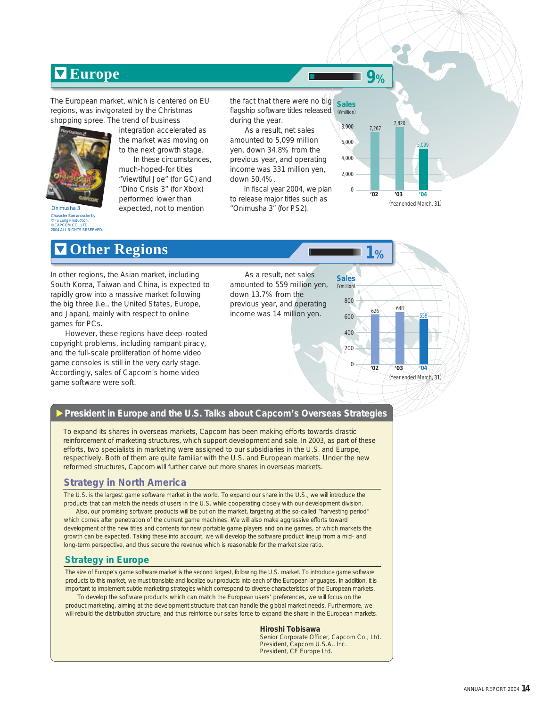### **Europe**

The European market, which is centered on EU regions, was invigorated by the Christmas



Onimusha 3 Character Samanosuke by © Fu Long Production, © CAPCOM CO., LTD. 2004 ALL RIGHTS RESERVED.

shopping spree. The trend of business integration accelerated as the market was moving on

to the next growth stage. In these circumstances, much-hoped-for titles

"Viewtiful Joe" (for GC) and "Dino Crisis 3" (for Xbox) performed lower than expected, not to mention

the fact that there were no big flagship software titles released during the year. (¥million) **Sales**

 As a result, net sales amounted to 5,099 million yen, down 34.8% from the previous year, and operating income was 331 million yen, down 50.4%.

 In fiscal year 2004, we plan to release major titles such as "Onimusha 3" (for PS2).



**9%**

 $626$  648

**1%**

559

(Year ended March, 31)

(¥million) **Sales**

**'02 '03 '04**

**Other Regions**

In other regions, the Asian market, including South Korea, Taiwan and China, is expected to rapidly grow into a massive market following the big three (i.e., the United States, Europe, and Japan), mainly with respect to online games for PCs.

 However, these regions have deep-rooted copyright problems, including rampant piracy, and the full-scale proliferation of home video game consoles is still in the very early stage. Accordingly, sales of Capcom's home video game software were soft.

 As a result, net sales amounted to 559 million yen, down 13.7% from the previous year, and operating income was 14 million yen.

#### **President in Europe and the U.S. Talks about Capcom's Overseas Strategies**

To expand its shares in overseas markets, Capcom has been making efforts towards drastic reinforcement of marketing structures, which support development and sale. In 2003, as part of these efforts, two specialists in marketing were assigned to our subsidiaries in the U.S. and Europe, respectively. Both of them are quite familiar with the U.S. and European markets. Under the new reformed structures, Capcom will further carve out more shares in overseas markets.

#### **Strategy in North America**

The U.S. is the largest game software market in the world. To expand our share in the U.S., we will introduce the products that can match the needs of users in the U.S. while cooperating closely with our development division.

 Also, our promising software products will be put on the market, targeting at the so-called "harvesting period" which comes after penetration of the current game machines. We will also make aggressive efforts toward development of the new titles and contents for new portable game players and online games, of which markets the growth can be expected. Taking these into account, we will develop the software product lineup from a mid- and long-term perspective, and thus secure the revenue which is reasonable for the market size ratio.

#### **Strategy in Europe**

The size of Europe's game software market is the second largest, following the U.S. market. To introduce game software products to this market, we must translate and localize our products into each of the European languages. In addition, it is important to implement subtle marketing strategies which correspond to diverse characteristics of the European markets.

 To develop the software products which can match the European users' preferences, we will focus on the product marketing, aiming at the development structure that can handle the global market needs. Furthermore, we will rebuild the distribution structure, and thus reinforce our sales force to expand the share in the European markets.

### **Hiroshi Tobisawa**

Senior Corporate Officer, Capcom Co., Ltd. President, Capcom U.S.A., Inc. President, CE Europe Ltd.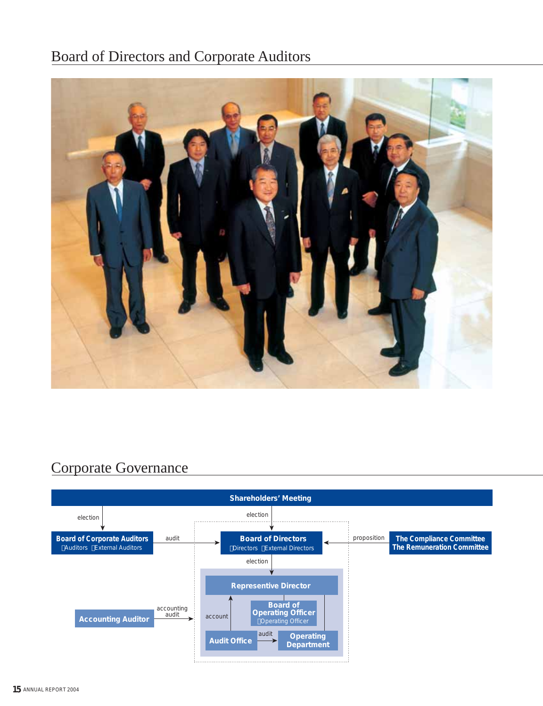### Board of Directors and Corporate Auditors



### Corporate Governance

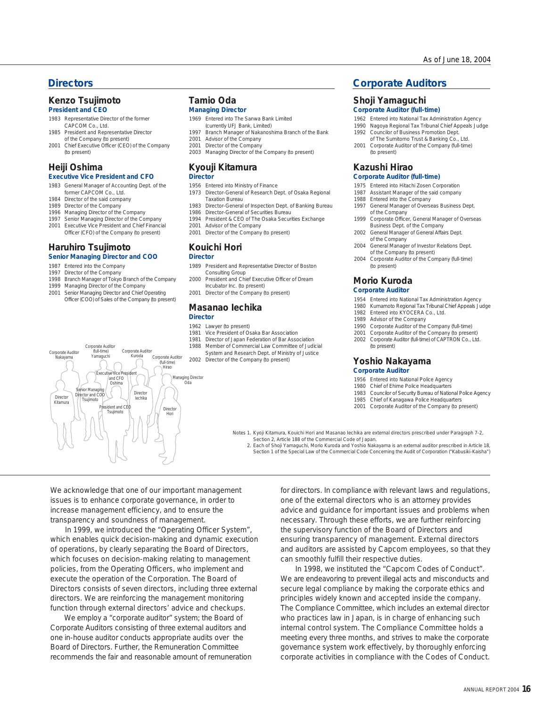### **Kenzo Tsujimoto**

#### **President and CEO**

- 1983 Representative Director of the former CAPCOM Co., Ltd.
- 1985 President and Representative Director of the Company (to present)
- 2001 Chief Executive Officer (CEO) of the Company (to present)

#### **Heiji Oshima**

#### **Executive Vice President and CFO**

- 1983 General Manager of Accounting Dept. of the former CAPCOM Co., Ltd.
- 1984 Director of the said company
- 1989 Director of the Company 1996 Managing Director of the Company
- 1997 Senior Managing Director of the Company
- 2001 Executive Vice President and Chief Financial Officer (CFO) of the Company (to present)

#### **Haruhiro Tsujimoto Senior Managing Director and COO**

Corporate Auditor

- 1987 Entered into the Company
- 1997 Director of the Company
- 1998 Branch Manager of Tokyo Branch of the Company
- 1999 Managing Director of the Company
- 2001 Senior Managing Director and Chief Operating Officer (COO) of Sales of the Company (to present)

#### **Tamio Oda Managing Director**

- 1969 Entered into The Sanwa Bank Limited
- (currently UFJ Bank, Limited) Branch Manager of Nakanoshima Branch of the Bank
- 1997 Branch Manager of Naka<br>2001 Advisor of the Company
- 2001 Director of the Company
- 2003 Managing Director of the Company (to present)

#### **Kyouji Kitamura Director**

- 1956 Entered into Ministry of Finance
- 1973 Director-General of Research Dept. of Osaka Regional Taxation Bureau
- 1983 Director-General of Inspection Dept. of Banking Bureau
- 1986 Director-General of Securities Bureau
- 1994 President & CEO of The Osaka Securities Exchange
- 2001 Advisor of the Company
- 2001 Director of the Company (to present)

#### **Kouichi Hori Director**

- 
- 1989 President and Representative Director of Boston Consulting Group
- President and Chief Executive Officer of Dream Incubator Inc. (to present) 2000
- 2001 Director of the Company (to present)

#### **Masanao Iechika Director**

- 1962 Lawyer (to present) Vice President of Osaka Bar Association 1981
- Director of Japan Federation of Bar Association 1981
- 1988 Member of Commercial Law Committee of Judicial
- System and Research Dept. of Ministry of Justice 2002 Director of the Company (to present)

#### **Directors Corporate Auditors**

#### **Shoji Yamaguchi**

#### **Corporate Auditor (full-time)**

- 1962 Entered into National Tax Administration Agency
- 1990 Nagoya Regional Tax Tribunal Chief Appeals Judge Councilor of Business Promotion Dept. 1992
- of The Sumitomo Trust & Banking Co., Ltd. 2001 Corporate Auditor of the Company (full-time) (to present)

### **Kazushi Hirao**

#### **Corporate Auditor (full-time)**

- 1975 Entered into Hitachi Zosen Corporation
- Assistant Manager of the said company 1987
- 1988 Entered into the Company 1997
- General Manager of Overseas Business Dept. of the Company Corporate Officer, General Manager of Overseas 1999
- Business Dept. of the Company 2002 General Manager of General Affairs Dept.
- of the Company
- 2004 General Manager of Investor Relations Dept. of the Company (to present)
- 2004 Corporate Auditor of the Company (full-time) (to present)

#### **Morio Kuroda**

#### **Corporate Auditor**

- 1954 Entered into National Tax Administration Agency
- 1980 Kumamoto Regional Tax Tribunal Chief Appeals Judge
- 1982 Entered into KYOCERA Co., Ltd.
- 1989 Advisor of the Company
- 1990 Corporate Auditor of the Company (full-time) 2001 Corporate Auditor of the Company (to present)
- 2002 Corporate Auditor (full-time) of CAPTRON Co., Ltd. (to present)

#### **Yoshio Nakayama Corporate Auditor**

- 1956 Entered into National Police Agency
- 1980 Chief of Ehime Police Headquarters
- 1983 Councilor of Security Bureau of National Police Agency
- 1985 Chief of Kanagawa Police Headquarters 2001 Corporate Auditor of the Company (to present)

Notes 1. Kyoji Kitamura, Kouichi Hori and Masanao lechika are external directors prescribed under Paragraph 7-2,

Section 2, Article 188 of the Commercial Code of Japan. Each of Shoji Yamaguchi, Morio Kuroda and Yoshio Nakayama is an external auditor prescribed in Article 18, 2.

Section 1 of the Special Law of the Commercial Code Concerning the Audit of Corporation ("Kabusiki-Kaisha")

We acknowledge that one of our important management issues is to enhance corporate governance, in order to increase management efficiency, and to ensure the transparency and soundness of management.

 In 1999, we introduced the "Operating Officer System", which enables quick decision-making and dynamic execution of operations, by clearly separating the Board of Directors, which focuses on decision-making relating to management policies, from the Operating Officers, who implement and execute the operation of the Corporation. The Board of Directors consists of seven directors, including three external directors. We are reinforcing the management monitoring function through external directors' advice and checkups.

 We employ a "corporate auditor" system; the Board of Corporate Auditors consisting of three external auditors and one in-house auditor conducts appropriate audits over the Board of Directors. Further, the Remuneration Committee recommends the fair and reasonable amount of remuneration for directors. In compliance with relevant laws and regulations, one of the external directors who is an attorney provides advice and guidance for important issues and problems when necessary. Through these efforts, we are further reinforcing the supervisory function of the Board of Directors and ensuring transparency of management. External directors and auditors are assisted by Capcom employees, so that they can smoothly fulfill their respective duties.

 In 1998, we instituted the "Capcom Codes of Conduct". We are endeavoring to prevent illegal acts and misconducts and secure legal compliance by making the corporate ethics and principles widely known and accepted inside the company. The Compliance Committee, which includes an external director who practices law in Japan, is in charge of enhancing such internal control system. The Compliance Committee holds a meeting every three months, and strives to make the corporate governance system work effectively, by thoroughly enforcing corporate activities in compliance with the Codes of Conduct.

- dent and CEO ident and CEO<br>Tsujimoto Hori Hirao Managing Director Oda Director Iechika Senior Managing Director and COO Director | Tsujimoto Executive Vice President and CFO Oshima
- Corporate Auditor (full-time) (full-time) Corporate Auditor (full-time)<br>Nakayama Yamaguchi r<br>.<br>Nakaya Corporate Auditor Kuroda
-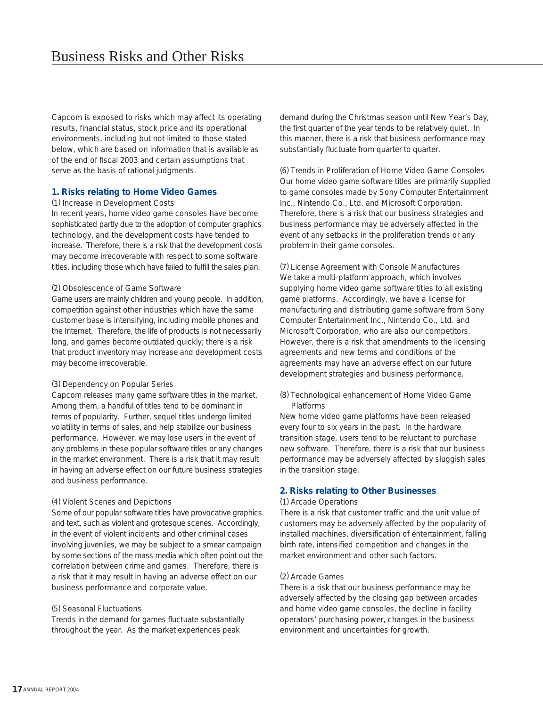Capcom is exposed to risks which may affect its operating results, financial status, stock price and its operational environments, including but not limited to those stated below, which are based on information that is available as of the end of fiscal 2003 and certain assumptions that serve as the basis of rational judgments.

#### **1. Risks relating to Home Video Games**

#### (1) Increase in Development Costs

In recent years, home video game consoles have become sophisticated partly due to the adoption of computer graphics technology, and the development costs have tended to increase. Therefore, there is a risk that the development costs may become irrecoverable with respect to some software titles, including those which have failed to fulfill the sales plan.

#### (2) Obsolescence of Game Software

Game users are mainly children and young people. In addition, competition against other industries which have the same customer base is intensifying, including mobile phones and the Internet. Therefore, the life of products is not necessarily long, and games become outdated quickly; there is a risk that product inventory may increase and development costs may become irrecoverable.

#### (3) Dependency on Popular Series

Capcom releases many game software titles in the market. Among them, a handful of titles tend to be dominant in terms of popularity. Further, sequel titles undergo limited volatility in terms of sales, and help stabilize our business performance. However, we may lose users in the event of any problems in these popular software titles or any changes in the market environment. There is a risk that it may result in having an adverse effect on our future business strategies and business performance.

#### (4) Violent Scenes and Depictions

Some of our popular software titles have provocative graphics and text, such as violent and grotesque scenes. Accordingly, in the event of violent incidents and other criminal cases involving juveniles, we may be subject to a smear campaign by some sections of the mass media which often point out the correlation between crime and games. Therefore, there is a risk that it may result in having an adverse effect on our business performance and corporate value.

#### (5) Seasonal Fluctuations

Trends in the demand for games fluctuate substantially throughout the year. As the market experiences peak

demand during the Christmas season until New Year's Day, the first quarter of the year tends to be relatively quiet. In this manner, there is a risk that business performance may substantially fluctuate from quarter to quarter.

(6) Trends in Proliferation of Home Video Game Consoles Our home video game software titles are primarily supplied to game consoles made by Sony Computer Entertainment Inc., Nintendo Co., Ltd. and Microsoft Corporation. Therefore, there is a risk that our business strategies and business performance may be adversely affected in the event of any setbacks in the proliferation trends or any problem in their game consoles.

(7) License Agreement with Console Manufactures We take a multi-platform approach, which involves supplying home video game software titles to all existing game platforms. Accordingly, we have a license for manufacturing and distributing game software from Sony Computer Entertainment Inc., Nintendo Co., Ltd. and Microsoft Corporation, who are also our competitors. However, there is a risk that amendments to the licensing agreements and new terms and conditions of the agreements may have an adverse effect on our future development strategies and business performance.

(8) Technological enhancement of Home Video Game Platforms

New home video game platforms have been released every four to six years in the past. In the hardware transition stage, users tend to be reluctant to purchase new software. Therefore, there is a risk that our business performance may be adversely affected by sluggish sales in the transition stage.

#### **2. Risks relating to Other Businesses**

#### (1) Arcade Operations

There is a risk that customer traffic and the unit value of customers may be adversely affected by the popularity of installed machines, diversification of entertainment, falling birth rate, intensified competition and changes in the market environment and other such factors.

#### (2) Arcade Games

There is a risk that our business performance may be adversely affected by the closing gap between arcades and home video game consoles, the decline in facility operators' purchasing power, changes in the business environment and uncertainties for growth.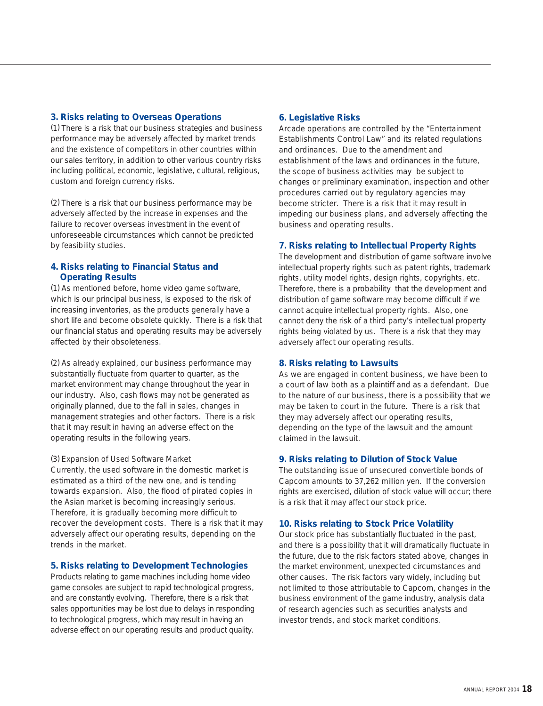#### **3. Risks relating to Overseas Operations**

(1) There is a risk that our business strategies and business performance may be adversely affected by market trends and the existence of competitors in other countries within our sales territory, in addition to other various country risks including political, economic, legislative, cultural, religious, custom and foreign currency risks.

(2) There is a risk that our business performance may be adversely affected by the increase in expenses and the failure to recover overseas investment in the event of unforeseeable circumstances which cannot be predicted by feasibility studies.

#### **4. Risks relating to Financial Status and Operating Results**

(1) As mentioned before, home video game software, which is our principal business, is exposed to the risk of increasing inventories, as the products generally have a short life and become obsolete quickly. There is a risk that our financial status and operating results may be adversely affected by their obsoleteness.

(2) As already explained, our business performance may substantially fluctuate from quarter to quarter, as the market environment may change throughout the year in our industry. Also, cash flows may not be generated as originally planned, due to the fall in sales, changes in management strategies and other factors. There is a risk that it may result in having an adverse effect on the operating results in the following years.

#### (3) Expansion of Used Software Market

Currently, the used software in the domestic market is estimated as a third of the new one, and is tending towards expansion. Also, the flood of pirated copies in the Asian market is becoming increasingly serious. Therefore, it is gradually becoming more difficult to recover the development costs. There is a risk that it may adversely affect our operating results, depending on the trends in the market.

#### **5. Risks relating to Development Technologies**

Products relating to game machines including home video game consoles are subject to rapid technological progress, and are constantly evolving. Therefore, there is a risk that sales opportunities may be lost due to delays in responding to technological progress, which may result in having an adverse effect on our operating results and product quality.

#### **6. Legislative Risks**

Arcade operations are controlled by the "Entertainment Establishments Control Law" and its related regulations and ordinances. Due to the amendment and establishment of the laws and ordinances in the future, the scope of business activities may be subject to changes or preliminary examination, inspection and other procedures carried out by regulatory agencies may become stricter. There is a risk that it may result in impeding our business plans, and adversely affecting the business and operating results.

#### **7. Risks relating to Intellectual Property Rights**

The development and distribution of game software involve intellectual property rights such as patent rights, trademark rights, utility model rights, design rights, copyrights, etc. Therefore, there is a probability that the development and distribution of game software may become difficult if we cannot acquire intellectual property rights. Also, one cannot deny the risk of a third party's intellectual property rights being violated by us. There is a risk that they may adversely affect our operating results.

#### **8. Risks relating to Lawsuits**

As we are engaged in content business, we have been to a court of law both as a plaintiff and as a defendant. Due to the nature of our business, there is a possibility that we may be taken to court in the future. There is a risk that they may adversely affect our operating results, depending on the type of the lawsuit and the amount claimed in the lawsuit.

#### **9. Risks relating to Dilution of Stock Value**

The outstanding issue of unsecured convertible bonds of Capcom amounts to 37,262 million yen. If the conversion rights are exercised, dilution of stock value will occur; there is a risk that it may affect our stock price.

#### **10. Risks relating to Stock Price Volatility**

Our stock price has substantially fluctuated in the past, and there is a possibility that it will dramatically fluctuate in the future, due to the risk factors stated above, changes in the market environment, unexpected circumstances and other causes. The risk factors vary widely, including but not limited to those attributable to Capcom, changes in the business environment of the game industry, analysis data of research agencies such as securities analysts and investor trends, and stock market conditions.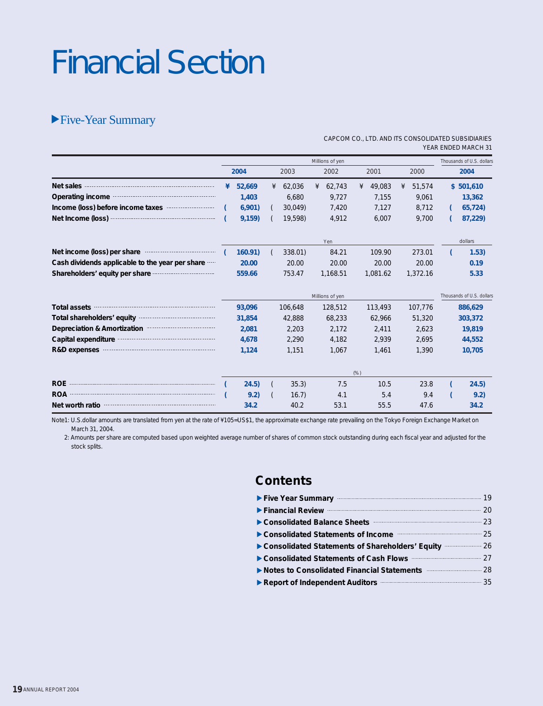# Financial Section

### Five-Year Summary

|                                                                                                                                                                                                                               |   |        |   |         |   |                 |      |          |   |          | <b>ILAN LIVULU IVIANUI I J I</b> |
|-------------------------------------------------------------------------------------------------------------------------------------------------------------------------------------------------------------------------------|---|--------|---|---------|---|-----------------|------|----------|---|----------|----------------------------------|
|                                                                                                                                                                                                                               |   |        |   |         |   | Millions of yen |      |          |   |          | Thousands of U.S. dollars        |
|                                                                                                                                                                                                                               |   | 2004   |   | 2003    |   | 2002            |      | 2001     |   | 2000     | 2004                             |
| Net sales <b>continues</b> and the sales <b>Net sales</b>                                                                                                                                                                     | ¥ | 52,669 | ¥ | 62,036  | ¥ | 62,743          | ¥    | 49,083   | ¥ | 51,574   | \$501,610                        |
| Operating income manufactured and all properties                                                                                                                                                                              |   | 1,403  |   | 6,680   |   | 9,727           |      | 7,155    |   | 9,061    | 13,362                           |
| Income (loss) before income taxes                                                                                                                                                                                             |   | 6,901  |   | 30,049) |   | 7,420           |      | 7,127    |   | 8,712    | 65,724)                          |
|                                                                                                                                                                                                                               |   | 9,159  |   | 19,598) |   | 4,912           |      | 6,007    |   | 9,700    | 87,229)                          |
|                                                                                                                                                                                                                               |   |        |   |         |   | Yen             |      |          |   |          | dollars                          |
| Net income (loss) per share                                                                                                                                                                                                   |   | 160.91 |   | 338.01) |   | 84.21           |      | 109.90   |   | 273.01   | 1.53)                            |
| Cash dividends applicable to the year per share                                                                                                                                                                               |   | 20.00  |   | 20.00   |   | 20.00           |      | 20.00    |   | 20.00    | 0.19                             |
| Shareholders' equity per share monoton contain the shareholders' equity per share                                                                                                                                             |   | 559.66 |   | 753.47  |   | 1,168.51        |      | 1,081.62 |   | 1,372.16 | 5.33                             |
|                                                                                                                                                                                                                               |   |        |   |         |   | Millions of yen |      |          |   |          | Thousands of U.S. dollars        |
| Total assets manufactured assets and assets a set of the set of the set of the set of the set of the set of the set of the set of the set of the set of the set of the set of the set of the set of the set of the set of the |   | 93,096 |   | 106,648 |   | 128,512         |      | 113,493  |   | 107,776  | 886,629                          |
| Total shareholders' equity manuscription and contact the state of the state of the state of the state of the state of the state of the state of the state of the state of the state of the state of the state of the state of |   | 31,854 |   | 42,888  |   | 68,233          |      | 62,966   |   | 51,320   | 303,372                          |
| Depreciation & Amortization                                                                                                                                                                                                   |   | 2,081  |   | 2,203   |   | 2,172           |      | 2,411    |   | 2,623    | 19,819                           |
| Capital expenditure manufacture and capital expenditure                                                                                                                                                                       |   | 4,678  |   | 2,290   |   | 4,182           |      | 2,939    |   | 2,695    | 44,552                           |
| R&D expenses <b>Example 28</b> R&D expenses                                                                                                                                                                                   |   | 1,124  |   | 1,151   |   | 1,067           |      | 1,461    |   | 1,390    | 10,705                           |
|                                                                                                                                                                                                                               |   |        |   |         |   |                 | (% ) |          |   |          |                                  |
|                                                                                                                                                                                                                               |   | 24.5)  |   | 35.3    |   | 7.5             |      | 10.5     |   | 23.8     | 24.5)                            |
|                                                                                                                                                                                                                               |   | 9.2)   |   | 16.7    |   | 4.1             |      | 5.4      |   | 9.4      | 9.2)                             |
| Net worth ratio                                                                                                                                                                                                               |   | 34.2   |   | 40.2    |   | 53.1            |      | 55.5     |   | 47.6     | 34.2                             |

CAPCOM CO., LTD. AND ITS CONSOLIDATED SUBSIDIARIES YEAR ENDED MARCH 31

Note1: U.S.dollar amounts are translated from yen at the rate of ¥105=US\$1, the approximate exchange rate prevailing on the Tokyo Foreign Exchange Market on March 31, 2004.

 2: Amounts per share are computed based upon weighted average number of shares of common stock outstanding during each fiscal year and adjusted for the stock splits.

### **Contents**

| Five Year Summary <b>Executive Summary</b> 19                                                                                                                                                                                                                     |  |
|-------------------------------------------------------------------------------------------------------------------------------------------------------------------------------------------------------------------------------------------------------------------|--|
| Financial Review <b>Executive Strategier 20</b>                                                                                                                                                                                                                   |  |
| Consolidated Balance Sheets <b>Consolidated</b> Balance Sheets <b>Consolidated</b> Balance Sheets <b>Consolidated</b> Balance Sheets <b>Consolidated</b> Balance Sheets <b>Consolidated</b> Balance Sheets <b>Consolidated</b> Balance Sheets <b>Consolidated</b> |  |
| Consolidated Statements of Income manufacturers and 25                                                                                                                                                                                                            |  |
| Consolidated Statements of Shareholders' Equity <b>Consolidated Statements of Shareholders' Equity</b>                                                                                                                                                            |  |
| Consolidated Statements of Cash Flows <b>Cash Flows</b> 27                                                                                                                                                                                                        |  |
| ▶ Notes to Consolidated Financial Statements <b>Matematical</b> 28                                                                                                                                                                                                |  |
| Report of Independent Auditors <b>Constant Auditors</b> 35                                                                                                                                                                                                        |  |
|                                                                                                                                                                                                                                                                   |  |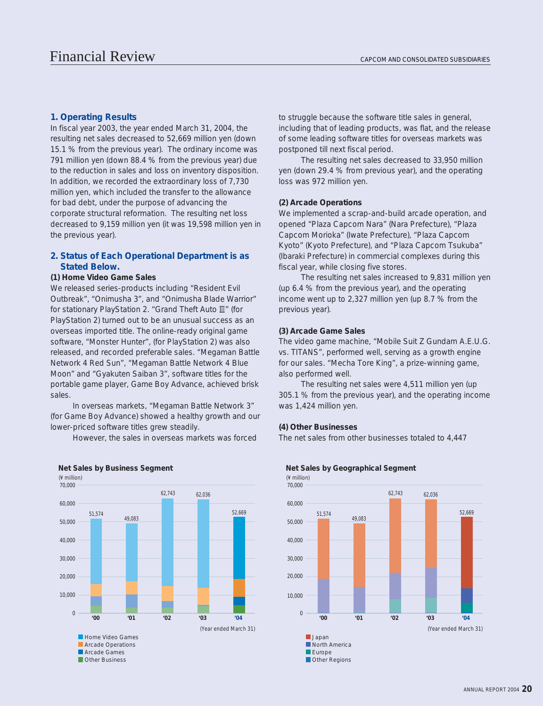#### **1. Operating Results**

In fiscal year 2003, the year ended March 31, 2004, the resulting net sales decreased to 52,669 million yen (down 15.1 % from the previous year). The ordinary income was 791 million yen (down 88.4 % from the previous year) due to the reduction in sales and loss on inventory disposition. In addition, we recorded the extraordinary loss of 7,730 million yen, which included the transfer to the allowance for bad debt, under the purpose of advancing the corporate structural reformation. The resulting net loss decreased to 9,159 million yen (it was 19,598 million yen in the previous year).

#### **2. Status of Each Operational Department is as Stated Below.**

#### **(1) Home Video Game Sales**

We released series-products including "Resident Evil Outbreak", "Onimusha 3", and "Onimusha Blade Warrior" for stationary PlayStation 2. "Grand Theft Auto  $\mathbb{I}$ " (for PlayStation 2) turned out to be an unusual success as an overseas imported title. The online-ready original game software, "Monster Hunter", (for PlayStation 2) was also released, and recorded preferable sales. "Megaman Battle Network 4 Red Sun", "Megaman Battle Network 4 Blue Moon" and "Gyakuten Saiban 3", software titles for the portable game player, Game Boy Advance, achieved brisk sales.

 In overseas markets, "Megaman Battle Network 3" (for Game Boy Advance) showed a healthy growth and our lower-priced software titles grew steadily.

However, the sales in overseas markets was forced



#### **Net Sales by Business Segment Net Sales by Geographical Segment**

to struggle because the software title sales in general, including that of leading products, was flat, and the release of some leading software titles for overseas markets was postponed till next fiscal period.

 The resulting net sales decreased to 33,950 million yen (down 29.4 % from previous year), and the operating loss was 972 million yen.

#### **(2) Arcade Operations**

We implemented a scrap-and-build arcade operation, and opened "Plaza Capcom Nara" (Nara Prefecture), "Plaza Capcom Morioka" (Iwate Prefecture), "Plaza Capcom Kyoto" (Kyoto Prefecture), and "Plaza Capcom Tsukuba" (Ibaraki Prefecture) in commercial complexes during this fiscal year, while closing five stores.

 The resulting net sales increased to 9,831 million yen (up 6.4 % from the previous year), and the operating income went up to 2,327 million yen (up 8.7 % from the previous year).

#### **(3) Arcade Game Sales**

The video game machine, "Mobile Suit Z Gundam A.E.U.G. vs. TITANS", performed well, serving as a growth engine for our sales. "Mecha Tore King", a prize-winning game, also performed well.

 The resulting net sales were 4,511 million yen (up 305.1 % from the previous year), and the operating income was 1,424 million yen.

#### **(4) Other Businesses**

The net sales from other businesses totaled to 4,447

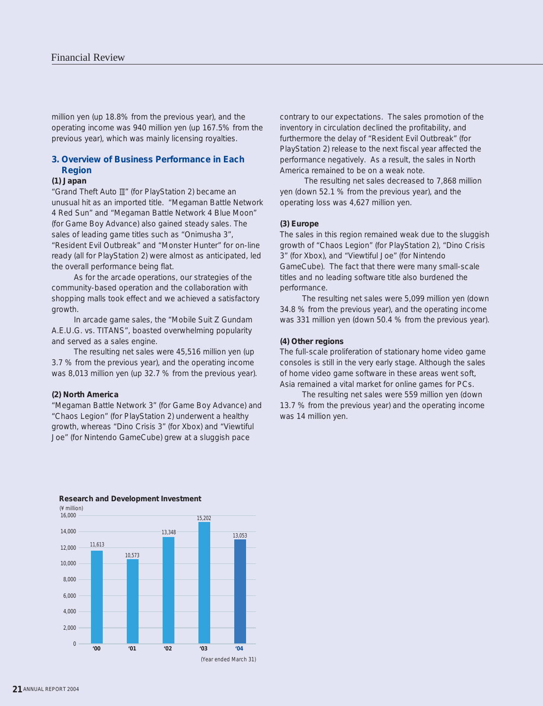million yen (up 18.8% from the previous year), and the operating income was 940 million yen (up 167.5% from the previous year), which was mainly licensing royalties.

#### **3. Overview of Business Performance in Each Region**

#### **(1) Japan**

"Grand Theft Auto III" (for PlayStation 2) became an unusual hit as an imported title. "Megaman Battle Network 4 Red Sun" and "Megaman Battle Network 4 Blue Moon" (for Game Boy Advance) also gained steady sales. The sales of leading game titles such as "Onimusha 3", "Resident Evil Outbreak" and "Monster Hunter" for on-line ready (all for PlayStation 2) were almost as anticipated, led the overall performance being flat.

 As for the arcade operations, our strategies of the community-based operation and the collaboration with shopping malls took effect and we achieved a satisfactory growth.

 In arcade game sales, the "Mobile Suit Z Gundam A.E.U.G. vs. TITANS", boasted overwhelming popularity and served as a sales engine.

 The resulting net sales were 45,516 million yen (up 3.7 % from the previous year), and the operating income was 8,013 million yen (up 32.7 % from the previous year).

#### **(2) North America**

"Megaman Battle Network 3" (for Game Boy Advance) and "Chaos Legion" (for PlayStation 2) underwent a healthy growth, whereas "Dino Crisis 3" (for Xbox) and "Viewtiful Joe" (for Nintendo GameCube) grew at a sluggish pace

contrary to our expectations. The sales promotion of the inventory in circulation declined the profitability, and furthermore the delay of "Resident Evil Outbreak" (for PlayStation 2) release to the next fiscal year affected the performance negatively. As a result, the sales in North America remained to be on a weak note.

 The resulting net sales decreased to 7,868 million yen (down 52.1 % from the previous year), and the operating loss was 4,627 million yen.

#### **(3) Europe**

The sales in this region remained weak due to the sluggish growth of "Chaos Legion" (for PlayStation 2), "Dino Crisis 3" (for Xbox), and "Viewtiful Joe" (for Nintendo GameCube). The fact that there were many small-scale titles and no leading software title also burdened the performance.

 The resulting net sales were 5,099 million yen (down 34.8 % from the previous year), and the operating income was 331 million yen (down 50.4 % from the previous year).

#### **(4) Other regions**

The full-scale proliferation of stationary home video game consoles is still in the very early stage. Although the sales of home video game software in these areas went soft, Asia remained a vital market for online games for PCs.

 The resulting net sales were 559 million yen (down 13.7 % from the previous year) and the operating income was 14 million yen.



#### **Research and Development Investment**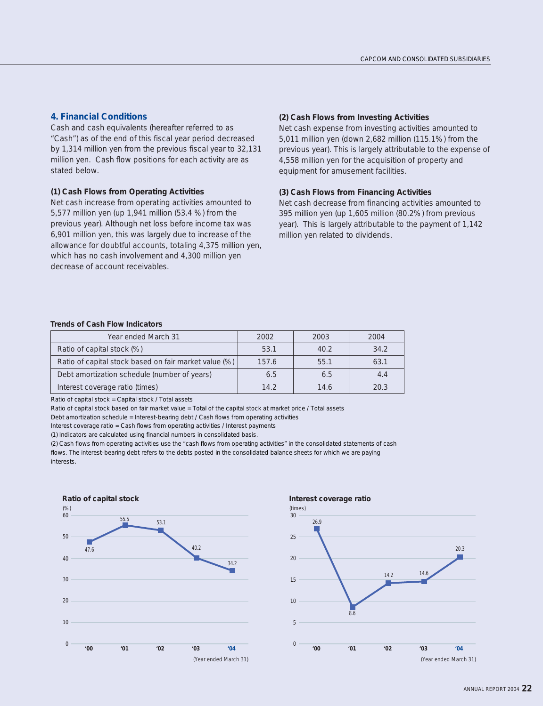#### **4. Financial Conditions**

Cash and cash equivalents (hereafter referred to as "Cash") as of the end of this fiscal year period decreased by 1,314 million yen from the previous fiscal year to 32,131 million yen. Cash flow positions for each activity are as stated below.

#### **(1) Cash Flows from Operating Activities**

Net cash increase from operating activities amounted to 5,577 million yen (up 1,941 million (53.4 %) from the previous year). Although net loss before income tax was 6,901 million yen, this was largely due to increase of the allowance for doubtful accounts, totaling 4,375 million yen, which has no cash involvement and 4,300 million yen decrease of account receivables.

#### **(2) Cash Flows from Investing Activities**

Net cash expense from investing activities amounted to 5,011 million yen (down 2,682 million (115.1%) from the previous year). This is largely attributable to the expense of 4,558 million yen for the acquisition of property and equipment for amusement facilities.

#### **(3) Cash Flows from Financing Activities**

Net cash decrease from financing activities amounted to 395 million yen (up 1,605 million (80.2%) from previous year). This is largely attributable to the payment of 1,142 million yen related to dividends.

#### **Trends of Cash Flow Indicators**

| Year ended March 31                                   | 2002  | 2003 | 2004 |
|-------------------------------------------------------|-------|------|------|
| Ratio of capital stock (%)                            | 53.1  | 40.2 | 34.2 |
| Ratio of capital stock based on fair market value (%) | 157.6 | 55.1 | 63.1 |
| Debt amortization schedule (number of years)          | 6.5   | 6.5  | 4.4  |
| Interest coverage ratio (times)                       | 14.2  | 14.6 | 20.3 |

Ratio of capital stock = Capital stock / Total assets

Ratio of capital stock based on fair market value = Total of the capital stock at market price / Total assets

Debt amortization schedule = Interest-bearing debt / Cash flows from operating activities

Interest coverage ratio = Cash flows from operating activities / Interest payments

(1) Indicators are calculated using financial numbers in consolidated basis.

(2) Cash flows from operating activities use the "cash flows from operating activities" in the consolidated statements of cash flows. The interest-bearing debt refers to the debts posted in the consolidated balance sheets for which we are paying interests.





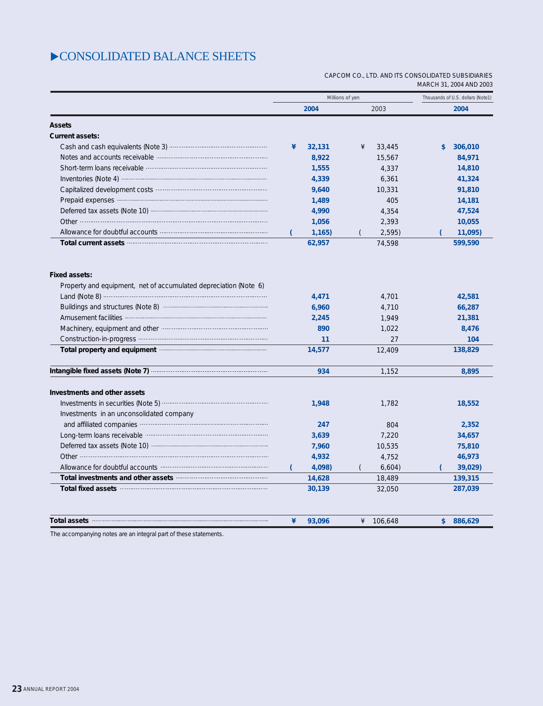### $\triangleright$  CONSOLIDATED BALANCE SHEETS

#### CAPCOM CO., LTD. AND ITS CONSOLIDATED SUBSIDIARIES MARCH 31, 2004 AND 2003

|                                                                                                                                                                                                                                      | Millions of yen |        |   |         | Thousands of U.S. dollars (Note1) |
|--------------------------------------------------------------------------------------------------------------------------------------------------------------------------------------------------------------------------------------|-----------------|--------|---|---------|-----------------------------------|
|                                                                                                                                                                                                                                      |                 | 2004   |   | 2003    | 2004                              |
| <b>Assets</b>                                                                                                                                                                                                                        |                 |        |   |         |                                   |
| <b>Current assets:</b>                                                                                                                                                                                                               |                 |        |   |         |                                   |
|                                                                                                                                                                                                                                      | ¥               | 32,131 | ¥ | 33,445  | \$<br>306,010                     |
| Notes and accounts receivable manufactured and accounts receivable                                                                                                                                                                   |                 | 8,922  |   | 15,567  | 84,971                            |
| Short-term loans receivable manufactured and support term loans receivable                                                                                                                                                           |                 | 1,555  |   | 4,337   | 14,810                            |
| Inventories (Note 4) manufactured and a series of the American control of the American control of the American                                                                                                                       |                 | 4,339  |   | 6,361   | 41,324                            |
|                                                                                                                                                                                                                                      |                 | 9,640  |   | 10,331  | 91,810                            |
| Prepaid expenses <b>continuous</b> contract and a prepaid expenses                                                                                                                                                                   |                 | 1,489  |   | 405     | 14,181                            |
|                                                                                                                                                                                                                                      |                 | 4,990  |   | 4,354   | 47,524                            |
|                                                                                                                                                                                                                                      |                 | 1,056  |   | 2,393   | 10,055                            |
|                                                                                                                                                                                                                                      |                 | 1,165  |   | 2,595   | 11,095)                           |
| Total current assets <b>continued assets</b> and a set of the set of the set of the set of the set of the set of the set of the set of the set of the set of the set of the set of the set of the set of the set of the set of the   |                 | 62,957 |   | 74,598  | 599,590                           |
| <b>Fixed assets:</b>                                                                                                                                                                                                                 |                 |        |   |         |                                   |
| Property and equipment, net of accumulated depreciation (Note 6)                                                                                                                                                                     |                 |        |   |         |                                   |
|                                                                                                                                                                                                                                      |                 | 4,471  |   | 4,701   | 42,581                            |
| Buildings and structures (Note 8) manufactured and structures (Note 8)                                                                                                                                                               |                 | 6,960  |   | 4,710   | 66,287                            |
|                                                                                                                                                                                                                                      |                 | 2,245  |   | 1,949   | 21,381                            |
|                                                                                                                                                                                                                                      |                 | 890    |   | 1,022   | 8,476                             |
|                                                                                                                                                                                                                                      |                 | 11     |   | 27      | 104                               |
| Total property and equipment <b>contract of the contract of the contract of the contract of the contract of the contract of the contract of the contract of the contract of the contract of the contract of the contract of the </b> |                 | 14,577 |   | 12,409  | 138,829                           |
| Intangible fixed assets (Note 7) manufactured assets (Note 7)                                                                                                                                                                        |                 | 934    |   | 1,152   | 8,895                             |
| Investments and other assets                                                                                                                                                                                                         |                 |        |   |         |                                   |
|                                                                                                                                                                                                                                      |                 | 1,948  |   | 1,782   | 18,552                            |
| Investments in an unconsolidated company                                                                                                                                                                                             |                 |        |   |         |                                   |
| and affiliated companies <b>companies</b> and affiliated companies <b>companies</b>                                                                                                                                                  |                 | 247    |   | 804     | 2,352                             |
| Long-term loans receivable municipalization and contact terms and contact terms and                                                                                                                                                  |                 | 3,639  |   | 7,220   | 34,657                            |
|                                                                                                                                                                                                                                      |                 | 7,960  |   | 10,535  | 75,810                            |
|                                                                                                                                                                                                                                      |                 | 4,932  |   | 4,752   | 46,973                            |
|                                                                                                                                                                                                                                      |                 | 4,098) |   | 6,604)  | 39,029)                           |
| Total investments and other assets <b>with an article in the contract of the contract of the contract of the contract of the contract of the contract of the contract of the contract of the contract of the contract of the con</b> |                 | 14,628 |   | 18,489  | 139,315                           |
| Total fixed assets <b>continues</b> and the contract of the contract of the contract of the contract of the contract of the contract of the contract of the contract of the contract of the contract of the contract of the contrac  |                 | 30,139 |   | 32,050  | 287,039                           |
| Total assets <b>contract to the contract of the contract of the contract of the contract of the contract of the contract of the contract of the contract of the contract of the contract of the contract of the contract of the </b> | ¥               |        |   |         |                                   |
|                                                                                                                                                                                                                                      |                 | 93,096 | ¥ | 106,648 | \$<br>886,629                     |

The accompanying notes are an integral part of these statements.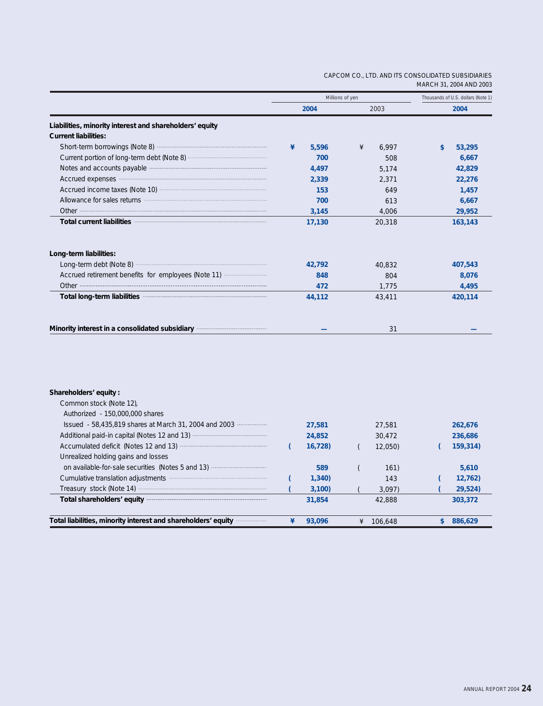#### CAPCOM CO., LTD. AND ITS CONSOLIDATED SUBSIDIARIES MARCH 31, 2004 AND 2003

|                                                                                                                                                                                                                                | Millions of yen |            | Thousands of U.S. dollars (Note 1) |
|--------------------------------------------------------------------------------------------------------------------------------------------------------------------------------------------------------------------------------|-----------------|------------|------------------------------------|
|                                                                                                                                                                                                                                | 2004            | 2003       | 2004                               |
| Liabilities, minority interest and shareholders' equity                                                                                                                                                                        |                 |            |                                    |
| <b>Current liabilities:</b>                                                                                                                                                                                                    |                 |            |                                    |
|                                                                                                                                                                                                                                | 5,596<br>¥      | ¥<br>6,997 | 53,295<br>\$                       |
|                                                                                                                                                                                                                                | 700             | 508        | 6,667                              |
| Notes and accounts payable manufactured and accounts and accounts payable                                                                                                                                                      | 4,497           | 5,174      | 42,829                             |
| Accrued expenses manufactured and a series of the series of the series of the series of the series of the series of the series of the series of the series of the series of the series of the series of the series of the seri | 2,339           | 2,371      | 22,276                             |
|                                                                                                                                                                                                                                | 153             | 649        | 1,457                              |
| Allowance for sales returns <b>contained and allowance</b> for sales returns                                                                                                                                                   | 700             | 613        | 6,667                              |
|                                                                                                                                                                                                                                | 3,145           | 4,006      | 29,952                             |
| Total current liabilities manufactured and current liabilities                                                                                                                                                                 | 17,130          | 20,318     | 163,143                            |
| Long-term liabilities:                                                                                                                                                                                                         | 42,792          | 40,832     | 407,543                            |
| Accrued retirement benefits for employees (Note 11)                                                                                                                                                                            | 848             | 804        | 8,076                              |
|                                                                                                                                                                                                                                | 472             | 1,775      | 4,495                              |
|                                                                                                                                                                                                                                | 44,112          | 43,411     | 420,114                            |
| Minority interest in a consolidated subsidiary manufacture and metal-                                                                                                                                                          |                 | 31         |                                    |
|                                                                                                                                                                                                                                |                 |            |                                    |
|                                                                                                                                                                                                                                |                 |            |                                    |
| Shareholders' equity:                                                                                                                                                                                                          |                 |            |                                    |
| Common stock (Note 12),                                                                                                                                                                                                        |                 |            |                                    |
| Authorized - 150,000,000 shares                                                                                                                                                                                                |                 |            |                                    |

| Total liabilities, minority interest and shareholders' equity manu- | 93.096 | 106,648 | 886,629  |  |
|---------------------------------------------------------------------|--------|---------|----------|--|
| Total shareholders' equity manufactured and shareholders' equity    | 31,854 | 42,888  | 303,372  |  |
|                                                                     |        |         |          |  |
|                                                                     | 3,100  | 3.097   | 29,524   |  |
|                                                                     | 1,340  | 143     | 12,762   |  |
| on available-for-sale securities (Notes 5 and 13)                   | 589    | 161)    | 5.610    |  |
| Unrealized holding gains and losses                                 |        |         |          |  |
|                                                                     | 16,728 | 12,050) | 159,314) |  |
|                                                                     | 24,852 | 30.472  | 236,686  |  |
| Issued - 58,435,819 shares at March 31, 2004 and 2003               | 27,581 | 27,581  | 262,676  |  |
|                                                                     |        |         |          |  |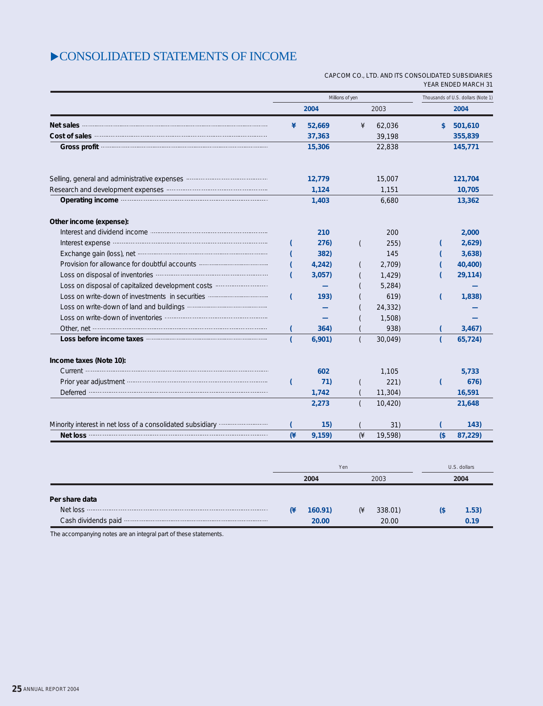### CONSOLIDATED STATEMENTS OF INCOME

#### CAPCOM CO., LTD. AND ITS CONSOLIDATED SUBSIDIARIES YEAR ENDED MARCH 31

**0.19**

20.00

**20.00**

|                                                                                                                                                                                                                                      |                 | Millions of yen | Thousands of U.S. dollars (Note 1) |         |        |                      |
|--------------------------------------------------------------------------------------------------------------------------------------------------------------------------------------------------------------------------------------|-----------------|-----------------|------------------------------------|---------|--------|----------------------|
|                                                                                                                                                                                                                                      |                 | 2004            |                                    | 2003    |        | 2004                 |
| Net sales                                                                                                                                                                                                                            | ¥               | 52,669          | ¥                                  | 62,036  | \$     | 501,610              |
| <b>Cost of sales municipality and cost of sales</b>                                                                                                                                                                                  |                 | 37,363          |                                    | 39,198  |        | 355,839              |
| Gross profit <b>contract to the contract of the contract of the contract of the contract of the contract of the contract of the contract of the contract of the contract of the contract of the contract of the contract of the </b> |                 | 15,306          |                                    | 22,838  |        | 145,771              |
| Selling, general and administrative expenses www.communication.com                                                                                                                                                                   |                 | 12,779          |                                    | 15,007  |        | 121,704              |
|                                                                                                                                                                                                                                      |                 | 1,124           |                                    | 1,151   |        | 10,705               |
| Operating income manufactured and a proportional contract of the contract of the contract of the contract of the contract of the contract of the contract of the contract of the contract of the contract of the contract of t       |                 | 1,403           |                                    | 6,680   |        | 13,362               |
| Other income (expense):                                                                                                                                                                                                              |                 |                 |                                    |         |        |                      |
|                                                                                                                                                                                                                                      |                 | 210             |                                    | 200     |        | 2,000                |
| Interest expense <b>contract to the contract of the contract of the contract of the contract of the contract of the contract of the contract of the contract of the contract of the contract of the contract of the contract of </b> |                 | 276)            |                                    | 255)    |        | 2,629                |
| Exchange gain (loss), net <b>contract and contract and contract and contract and contract and contract and contract and contract and contract and contract and contract and contract and contract and contract and contract and </b> |                 | 382)            |                                    | 145     |        | 3,638)               |
| Provision for allowance for doubtful accounts <b>contract and the provision</b> for allowance for doubtful accounts                                                                                                                  |                 | 4,242)          |                                    | 2,709)  |        | 40,400)              |
| Loss on disposal of inventories <b>contained and proportional contact of inventories</b>                                                                                                                                             | (               | 3,057           |                                    | 1,429   |        | 29,114)              |
| Loss on disposal of capitalized development costs                                                                                                                                                                                    |                 |                 |                                    | 5,284)  |        |                      |
| Loss on write-down of investments in securities                                                                                                                                                                                      | (               | 193)            |                                    | 619)    |        | 1,838)               |
|                                                                                                                                                                                                                                      |                 |                 |                                    | 24,332) |        |                      |
|                                                                                                                                                                                                                                      |                 |                 |                                    | 1,508)  |        |                      |
| Other, net <b>contract that the contract of the contract of the contract of the contract of the contract of the contract of the contract of the contract of the contract of the contract of the contract of the contract of the </b> |                 | 364)            |                                    | 938)    |        | 3,467                |
| Loss before income taxes <b>contract to the set of the set of the set of the set of the set of the set of the set of the set of the set of the set of the set of the set of the set of the set of the set of the set of the set </b> |                 | 6,901)          |                                    | 30,049) |        | 65,724)              |
| Income taxes (Note 10):                                                                                                                                                                                                              |                 |                 |                                    |         |        |                      |
|                                                                                                                                                                                                                                      |                 | 602             |                                    | 1,105   |        | 5,733                |
| Prior year adjustment manufactured and prior year adjustment                                                                                                                                                                         |                 | 71)             |                                    | 221)    |        | 676)                 |
| Deferred <b>contract to the contract of the contract of the contract of the contract of the contract of the contract of the contract of the contract of the contract of the contract of the contract of the contract of the cont</b> |                 | 1,742           |                                    | 11,304) |        | 16,591               |
|                                                                                                                                                                                                                                      |                 | 2,273           |                                    | 10,420  |        | 21,648               |
| Minority interest in net loss of a consolidated subsidiary <i>willer interinance</i>                                                                                                                                                 |                 | 15)             |                                    | 31)     |        | 143)                 |
|                                                                                                                                                                                                                                      | (4)             | 9,159)          | $(\n\ast$                          | 19,598) | $($ \$ | 87,229)              |
|                                                                                                                                                                                                                                      |                 |                 |                                    |         |        |                      |
|                                                                                                                                                                                                                                      |                 | Yen<br>2004     |                                    | 2003    |        | U.S. dollars<br>2004 |
|                                                                                                                                                                                                                                      |                 |                 |                                    |         |        |                      |
| Per share data                                                                                                                                                                                                                       | $(\frac{4}{3})$ | 160.91)         | (¥                                 | 338.01) | $($ \$ | 1.53)                |
|                                                                                                                                                                                                                                      |                 |                 |                                    |         |        |                      |

The accompanying notes are an integral part of these statements.

Cash dividends paid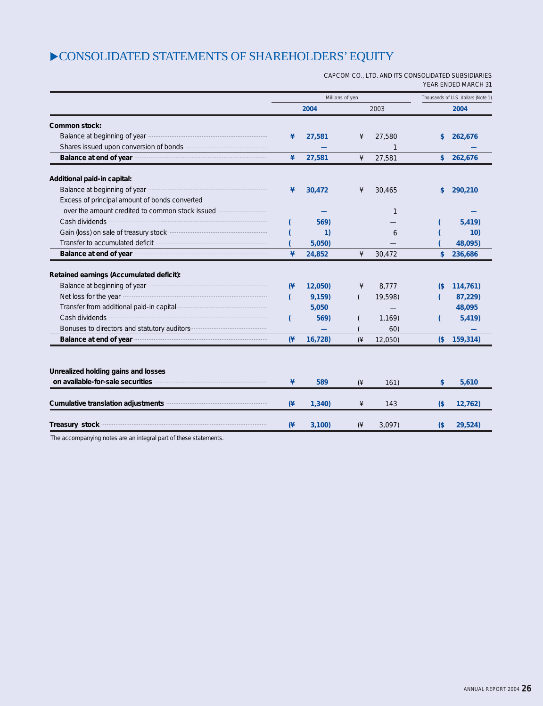### $\blacktriangleright$  CONSOLIDATED STATEMENTS OF SHAREHOLDERS' EQUITY

CAPCOM CO., LTD. AND ITS CONSOLIDATED SUBSIDIARIES YEAR ENDED MARCH 31

|                                                                                                                                                                                                                                | Millions of yen |        |                      |              | Thousands of U.S. dollars (Note 1) |           |  |
|--------------------------------------------------------------------------------------------------------------------------------------------------------------------------------------------------------------------------------|-----------------|--------|----------------------|--------------|------------------------------------|-----------|--|
|                                                                                                                                                                                                                                |                 | 2004   |                      | 2003         |                                    | 2004      |  |
| Common stock:                                                                                                                                                                                                                  |                 |        |                      |              |                                    |           |  |
|                                                                                                                                                                                                                                | ¥               | 27,581 | ¥                    | 27,580       | \$                                 | 262,676   |  |
|                                                                                                                                                                                                                                |                 |        |                      | $\mathbf{1}$ |                                    |           |  |
| Balance at end of year manufactured and a state and of year                                                                                                                                                                    | ¥               | 27,581 | ¥                    | 27,581       |                                    | \$262,676 |  |
| Additional paid-in capital:                                                                                                                                                                                                    |                 |        |                      |              |                                    |           |  |
| Balance at beginning of year manufactured and all all the parameters and beginning of year manufactured and all the state and state and state and state and state and state and state and state and state and state and state  | ¥               | 30,472 | ¥                    | 30,465       | \$                                 | 290,210   |  |
| Excess of principal amount of bonds converted                                                                                                                                                                                  |                 |        |                      |              |                                    |           |  |
| over the amount credited to common stock issued <b></b>                                                                                                                                                                        |                 |        |                      | $\mathbf{1}$ |                                    |           |  |
|                                                                                                                                                                                                                                |                 | 569)   |                      |              |                                    | 5,419)    |  |
| Gain (loss) on sale of treasury stock manufactured and contact the sales of treasury stock                                                                                                                                     |                 | 1)     |                      | 6            |                                    | 10)       |  |
|                                                                                                                                                                                                                                |                 | 5,050  |                      |              |                                    | 48,095)   |  |
| Balance at end of year manufactured and a set of year manufactured at end of year                                                                                                                                              | ¥               | 24,852 | ¥                    | 30,472       | \$                                 | 236,686   |  |
| Retained earnings (Accumulated deficit):                                                                                                                                                                                       |                 |        |                      |              |                                    |           |  |
|                                                                                                                                                                                                                                | $(\frac{4}{3})$ | 12,050 | ¥                    | 8,777        | $\sqrt{3}$                         | 114,761)  |  |
| Net loss for the year manufactured and the year and the year and the year and the year and the year and the year                                                                                                               |                 | 9,159) |                      | 19,598)      |                                    | 87,229)   |  |
| Transfer from additional paid-in capital manufacture and contact the manufacture of                                                                                                                                            |                 | 5,050  |                      |              |                                    | 48,095    |  |
|                                                                                                                                                                                                                                |                 | 569)   |                      | 1,169        |                                    | 5,419     |  |
|                                                                                                                                                                                                                                |                 |        |                      | 60)          |                                    |           |  |
| Balance at end of year manufactured and a state of year manufactured and state and state and state and state and state and state and state and state and state and state and state and state and state and state and state and | (4)             | 16,728 | $(*$                 | 12,050)      | $($ \$                             | 159,314)  |  |
|                                                                                                                                                                                                                                |                 |        |                      |              |                                    |           |  |
| Unrealized holding gains and losses                                                                                                                                                                                            |                 |        |                      |              |                                    |           |  |
| on available-for-sale securities manufactured and available-for-sale securities                                                                                                                                                | ¥               | 589    | $(\frac{1}{2})$      | 161)         | \$                                 | 5,610     |  |
| Cumulative translation adjustments manufactured and cumulative translation adjustments                                                                                                                                         | $(*$            | 1,340  | ¥                    | 143          | $($ \$                             | 12,762)   |  |
| Treasury stock                                                                                                                                                                                                                 | $(\frac{4}{3})$ | 3,100  | $(\n\ddot{\n\star})$ | 3,097        | $($ \$                             | 29,524)   |  |
| The accompanying notes are an integral part of these statements                                                                                                                                                                |                 |        |                      |              |                                    |           |  |

The accompanying notes are an integral part of these statements.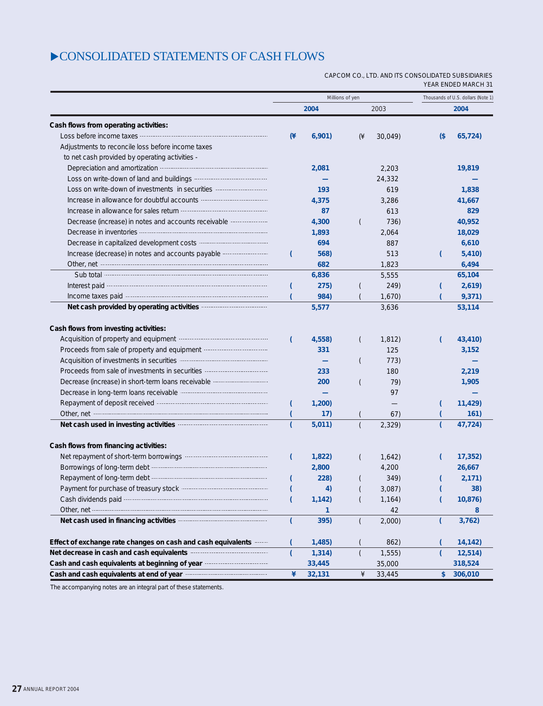### CONSOLIDATED STATEMENTS OF CASH FLOWS

#### CAPCOM CO., LTD. AND ITS CONSOLIDATED SUBSIDIARIES YEAR ENDED MARCH 31

|                                                                                                                                                                                                                                                                                                                                                                                                                                                                                                                                                                                                                                                                         | Millions of yen |                                              |                | Thousands of U.S. dollars (Note 1)               |        |                                                       |
|-------------------------------------------------------------------------------------------------------------------------------------------------------------------------------------------------------------------------------------------------------------------------------------------------------------------------------------------------------------------------------------------------------------------------------------------------------------------------------------------------------------------------------------------------------------------------------------------------------------------------------------------------------------------------|-----------------|----------------------------------------------|----------------|--------------------------------------------------|--------|-------------------------------------------------------|
|                                                                                                                                                                                                                                                                                                                                                                                                                                                                                                                                                                                                                                                                         |                 | 2004                                         |                | 2003                                             |        | 2004                                                  |
| Cash flows from operating activities:                                                                                                                                                                                                                                                                                                                                                                                                                                                                                                                                                                                                                                   |                 |                                              |                |                                                  |        |                                                       |
|                                                                                                                                                                                                                                                                                                                                                                                                                                                                                                                                                                                                                                                                         | (¥              | 6,901)                                       | $(\n\ast$      | 30,049)                                          | $($ \$ | 65,724)                                               |
| Adjustments to reconcile loss before income taxes                                                                                                                                                                                                                                                                                                                                                                                                                                                                                                                                                                                                                       |                 |                                              |                |                                                  |        |                                                       |
| to net cash provided by operating activities -                                                                                                                                                                                                                                                                                                                                                                                                                                                                                                                                                                                                                          |                 |                                              |                |                                                  |        |                                                       |
|                                                                                                                                                                                                                                                                                                                                                                                                                                                                                                                                                                                                                                                                         |                 | 2,081                                        |                | 2,203                                            |        | 19,819                                                |
|                                                                                                                                                                                                                                                                                                                                                                                                                                                                                                                                                                                                                                                                         |                 |                                              |                | 24,332                                           |        |                                                       |
| Loss on write-down of investments in securities                                                                                                                                                                                                                                                                                                                                                                                                                                                                                                                                                                                                                         |                 | 193                                          |                | 619                                              |        | 1,838                                                 |
|                                                                                                                                                                                                                                                                                                                                                                                                                                                                                                                                                                                                                                                                         |                 | 4,375                                        |                | 3,286                                            |        | 41,667                                                |
| Increase in allowance for sales return <b>contained and allowance</b> for sales return <b>contained and allowance</b>                                                                                                                                                                                                                                                                                                                                                                                                                                                                                                                                                   |                 | 87                                           |                | 613                                              |        | 829                                                   |
| Decrease (increase) in notes and accounts receivable                                                                                                                                                                                                                                                                                                                                                                                                                                                                                                                                                                                                                    |                 | 4,300                                        |                | 736)                                             |        | 40,952                                                |
|                                                                                                                                                                                                                                                                                                                                                                                                                                                                                                                                                                                                                                                                         |                 | 1,893                                        |                | 2,064                                            |        | 18,029                                                |
|                                                                                                                                                                                                                                                                                                                                                                                                                                                                                                                                                                                                                                                                         |                 | 694                                          |                | 887                                              |        | 6,610                                                 |
| Increase (decrease) in notes and accounts payable                                                                                                                                                                                                                                                                                                                                                                                                                                                                                                                                                                                                                       |                 | 568)                                         |                | 513                                              |        | 5,410                                                 |
|                                                                                                                                                                                                                                                                                                                                                                                                                                                                                                                                                                                                                                                                         |                 | 682                                          |                | 1,823                                            |        | 6,494                                                 |
| Sub total <b>contract of the contract of the contract of the contract of the contract of the contract of the contract of the contract of the contract of the contract of the contract of the contract of the contract of the con</b>                                                                                                                                                                                                                                                                                                                                                                                                                                    |                 | 6,836                                        |                | 5,555                                            |        | 65,104                                                |
| Interest paid manufactured and the state of the state of the state of the state of the state of the state of the state of the state of the state of the state of the state of the state of the state of the state of the state                                                                                                                                                                                                                                                                                                                                                                                                                                          |                 | 275)                                         |                | 249)                                             |        | 2,619                                                 |
| Income taxes paid manufactured and all proportional contracts and the latest paid                                                                                                                                                                                                                                                                                                                                                                                                                                                                                                                                                                                       |                 | 984)                                         |                | 1,670                                            |        | 9,371)                                                |
| Net cash provided by operating activities <b>Constanting</b>                                                                                                                                                                                                                                                                                                                                                                                                                                                                                                                                                                                                            |                 | 5,577                                        |                | 3,636                                            |        | 53,114                                                |
| Cash flows from investing activities:<br>Acquisition of property and equipment manufactured acquisition of property and equipment<br>Proceeds from sale of property and equipment <b></b><br>Decrease (increase) in short-term loans receivable manufactured<br>Decrease in long-term loans receivable manufactured and contact the person of<br>Repayment of deposit received <b>contain a container and a container and a</b><br>Other, net <b>contract that the contract of the contract of the contract of the contract of the contract of the contract of the contract of the contract of the contract of the contract of the contract of the contract of the </b> |                 | 4,558)<br>331<br>233<br>200<br>1,200)<br>17) |                | 1,812)<br>125<br>773)<br>180<br>79)<br>97<br>67) |        | 43,410)<br>3,152<br>2,219<br>1,905<br>11,429)<br>161) |
| Cash flows from financing activities:                                                                                                                                                                                                                                                                                                                                                                                                                                                                                                                                                                                                                                   |                 | 5,011)                                       |                | 2,329                                            |        | 47,724)                                               |
|                                                                                                                                                                                                                                                                                                                                                                                                                                                                                                                                                                                                                                                                         |                 | 1,822                                        |                | 1,642                                            |        | 17,352                                                |
|                                                                                                                                                                                                                                                                                                                                                                                                                                                                                                                                                                                                                                                                         |                 | 2,800                                        |                | 4,200                                            |        | 26,667                                                |
|                                                                                                                                                                                                                                                                                                                                                                                                                                                                                                                                                                                                                                                                         |                 | 228)                                         |                | 349)                                             |        | 2,171)                                                |
|                                                                                                                                                                                                                                                                                                                                                                                                                                                                                                                                                                                                                                                                         |                 | 4)                                           |                | 3,087                                            |        | 38)                                                   |
| Cash dividends paid manufactured and control of the paid of the state of the cash dividends paid                                                                                                                                                                                                                                                                                                                                                                                                                                                                                                                                                                        |                 | 1,142)                                       |                | 1,164)                                           |        | 10,876)                                               |
| Other, net <b>contract the contract of the contract of the contract of the contract of the contract of the contract of the contract of the contract of the contract of the contract of the contract of the contract of the contr</b>                                                                                                                                                                                                                                                                                                                                                                                                                                    |                 | 1.                                           |                | 42                                               |        | 8                                                     |
| Net cash used in financing activities <b>manually contained</b>                                                                                                                                                                                                                                                                                                                                                                                                                                                                                                                                                                                                         | t               | 395)                                         | $\overline{ }$ | 2,000                                            | (      | 3,762)                                                |
| Effect of exchange rate changes on cash and cash equivalents                                                                                                                                                                                                                                                                                                                                                                                                                                                                                                                                                                                                            |                 | 1,485)                                       |                | 862)                                             |        | 14,142)                                               |
| Net decrease in cash and cash equivalents manufactured and cash to relate the manufactured and cash equivalents                                                                                                                                                                                                                                                                                                                                                                                                                                                                                                                                                         |                 | 1,314)                                       | $\overline{ }$ | 1,555                                            |        | 12,514)                                               |
| Cash and cash equivalents at beginning of year manufactured cash equivalents at beginning of year                                                                                                                                                                                                                                                                                                                                                                                                                                                                                                                                                                       |                 | 33,445                                       |                | 35,000                                           |        | 318,524                                               |
| Cash and cash equivalents at end of year manufactured cash and cash equivalents at end of year                                                                                                                                                                                                                                                                                                                                                                                                                                                                                                                                                                          | ¥               | 32,131                                       | ¥              | 33,445                                           | \$     | 306,010                                               |

The accompanying notes are an integral part of these statements.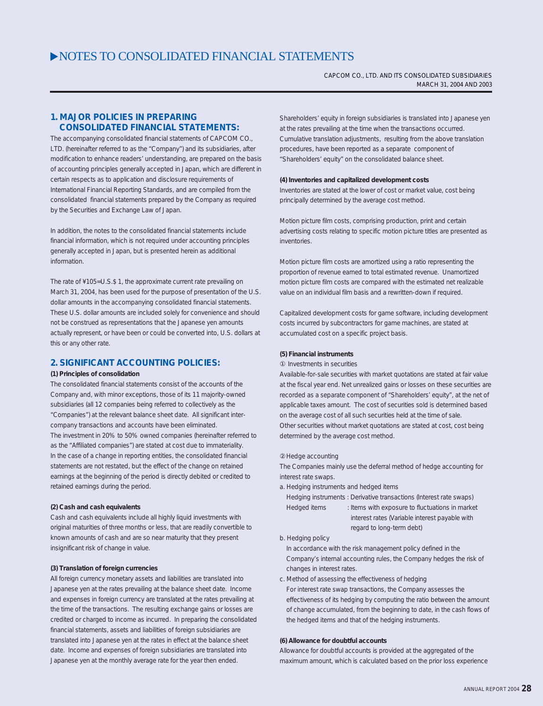CAPCOM CO., LTD. AND ITS CONSOLIDATED SUBSIDIARIES MARCH 31, 2004 AND 2003

#### **1. MAJOR POLICIES IN PREPARING CONSOLIDATED FINANCIAL STATEMENTS:**

The accompanying consolidated financial statements of CAPCOM CO., LTD. (hereinafter referred to as the "Company") and its subsidiaries, after modification to enhance readers' understanding, are prepared on the basis of accounting principles generally accepted in Japan, which are different in certain respects as to application and disclosure requirements of International Financial Reporting Standards, and are compiled from the consolidated financial statements prepared by the Company as required by the Securities and Exchange Law of Japan.

In addition, the notes to the consolidated financial statements include financial information, which is not required under accounting principles generally accepted in Japan, but is presented herein as additional information.

The rate of ¥105=U.S.\$ 1, the approximate current rate prevailing on March 31, 2004, has been used for the purpose of presentation of the U.S. dollar amounts in the accompanying consolidated financial statements. These U.S. dollar amounts are included solely for convenience and should not be construed as representations that the Japanese yen amounts actually represent, or have been or could be converted into, U.S. dollars at this or any other rate

#### **2. SIGNIFICANT ACCOUNTING POLICIES:**

#### **(1) Principles of consolidation**

The consolidated financial statements consist of the accounts of the Company and, with minor exceptions, those of its 11 majority-owned subsidiaries (all 12 companies being referred to collectively as the "Companies") at the relevant balance sheet date. All significant intercompany transactions and accounts have been eliminated. The investment in 20% to 50% owned companies (hereinafter referred to as the "Affiliated companies") are stated at cost due to immateriality. In the case of a change in reporting entities, the consolidated financial statements are not restated, but the effect of the change on retained earnings at the beginning of the period is directly debited or credited to retained earnings during the period.

#### **(2) Cash and cash equivalents**

Cash and cash equivalents include all highly liquid investments with original maturities of three months or less, that are readily convertible to known amounts of cash and are so near maturity that they present insignificant risk of change in value.

#### **(3) Translation of foreign currencies**

All foreign currency monetary assets and liabilities are translated into Japanese yen at the rates prevailing at the balance sheet date. Income and expenses in foreign currency are translated at the rates prevailing at the time of the transactions. The resulting exchange gains or losses are credited or charged to income as incurred. In preparing the consolidated financial statements, assets and liabilities of foreign subsidiaries are translated into Japanese yen at the rates in effect at the balance sheet date. Income and expenses of foreign subsidiaries are translated into Japanese yen at the monthly average rate for the year then ended.

Shareholders' equity in foreign subsidiaries is translated into Japanese yen at the rates prevailing at the time when the transactions occurred. Cumulative translation adjustments, resulting from the above translation procedures, have been reported as a separate component of "Shareholders' equity" on the consolidated balance sheet.

#### **(4) Inventories and capitalized development costs**

Inventories are stated at the lower of cost or market value, cost being principally determined by the average cost method.

Motion picture film costs, comprising production, print and certain advertising costs relating to specific motion picture titles are presented as inventories.

Motion picture film costs are amortized using a ratio representing the proportion of revenue earned to total estimated revenue. Unamortized motion picture film costs are compared with the estimated net realizable value on an individual film basis and a rewritten-down if required.

Capitalized development costs for game software, including development costs incurred by subcontractors for game machines, are stated at accumulated cost on a specific project basis.

#### **(5) Financial instruments**

#### Investments in securities

Available-for-sale securities with market quotations are stated at fair value at the fiscal year end. Net unrealized gains or losses on these securities are recorded as a separate component of "Shareholders' equity", at the net of applicable taxes amount. The cost of securities sold is determined based on the average cost of all such securities held at the time of sale. Other securities without market quotations are stated at cost, cost being determined by the average cost method.

#### Hedge accounting

The Companies mainly use the deferral method of hedge accounting for interest rate swaps.

- a. Hedging instruments and hedged items
	- Hedging instruments : Derivative transactions (Interest rate swaps) Hedged items : Items with exposure to fluctuations in market interest rates (Variable interest payable with regard to long-term debt)
- b. Hedging policy

In accordance with the risk management policy defined in the Company's internal accounting rules, the Company hedges the risk of changes in interest rates.

c. Method of assessing the effectiveness of hedging For interest rate swap transactions, the Company assesses the effectiveness of its hedging by computing the ratio between the amount of change accumulated, from the beginning to date, in the cash flows of the hedged items and that of the hedging instruments.

#### **(6) Allowance for doubtful accounts**

Allowance for doubtful accounts is provided at the aggregated of the maximum amount, which is calculated based on the prior loss experience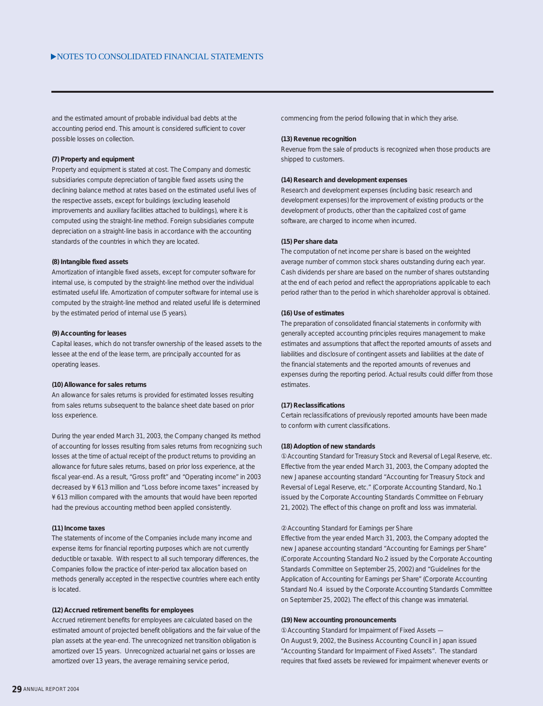and the estimated amount of probable individual bad debts at the accounting period end. This amount is considered sufficient to cover possible losses on collection.

#### **(7) Property and equipment**

Property and equipment is stated at cost. The Company and domestic subsidiaries compute depreciation of tangible fixed assets using the declining balance method at rates based on the estimated useful lives of the respective assets, except for buildings (excluding leasehold improvements and auxiliary facilities attached to buildings), where it is computed using the straight-line method. Foreign subsidiaries compute depreciation on a straight-line basis in accordance with the accounting standards of the countries in which they are located.

#### **(8) Intangible fixed assets**

Amortization of intangible fixed assets, except for computer software for internal use, is computed by the straight-line method over the individual estimated useful life. Amortization of computer software for internal use is computed by the straight-line method and related useful life is determined by the estimated period of internal use (5 years).

#### **(9) Accounting for leases**

Capital leases, which do not transfer ownership of the leased assets to the lessee at the end of the lease term, are principally accounted for as operating leases.

#### **(10) Allowance for sales returns**

An allowance for sales returns is provided for estimated losses resulting from sales returns subsequent to the balance sheet date based on prior loss experience.

During the year ended March 31, 2003, the Company changed its method of accounting for losses resulting from sales returns from recognizing such losses at the time of actual receipt of the product returns to providing an allowance for future sales returns, based on prior loss experience, at the fiscal year-end. As a result, "Gross profit" and "Operating income" in 2003 decreased by ¥ 613 million and "Loss before income taxes" increased by ¥ 613 million compared with the amounts that would have been reported had the previous accounting method been applied consistently.

#### **(11) Income taxes**

The statements of income of the Companies include many income and expense items for financial reporting purposes which are not currently deductible or taxable. With respect to all such temporary differences, the Companies follow the practice of inter-period tax allocation based on methods generally accepted in the respective countries where each entity is located.

#### **(12) Accrued retirement benefits for employees**

Accrued retirement benefits for employees are calculated based on the estimated amount of projected benefit obligations and the fair value of the plan assets at the year-end. The unrecognized net transition obligation is amortized over 15 years. Unrecognized actuarial net gains or losses are amortized over 13 years, the average remaining service period,

commencing from the period following that in which they arise.

#### **(13) Revenue recognition**

Revenue from the sale of products is recognized when those products are shipped to customers.

#### **(14) Research and development expenses**

Research and development expenses (including basic research and development expenses) for the improvement of existing products or the development of products, other than the capitalized cost of game software, are charged to income when incurred.

#### **(15) Per share data**

The computation of net income per share is based on the weighted average number of common stock shares outstanding during each year. Cash dividends per share are based on the number of shares outstanding at the end of each period and reflect the appropriations applicable to each period rather than to the period in which shareholder approval is obtained.

#### **(16) Use of estimates**

The preparation of consolidated financial statements in conformity with generally accepted accounting principles requires management to make estimates and assumptions that affect the reported amounts of assets and liabilities and disclosure of contingent assets and liabilities at the date of the financial statements and the reported amounts of revenues and expenses during the reporting period. Actual results could differ from those estimates.

#### **(17) Reclassifications**

Certain reclassifications of previously reported amounts have been made to conform with current classifications.

#### **(18) Adoption of new standards**

Accounting Standard for Treasury Stock and Reversal of Legal Reserve, etc. Effective from the year ended March 31, 2003, the Company adopted the new Japanese accounting standard "Accounting for Treasury Stock and Reversal of Legal Reserve, etc." (Corporate Accounting Standard, No.1 issued by the Corporate Accounting Standards Committee on February 21, 2002). The effect of this change on profit and loss was immaterial.

#### Accounting Standard for Earnings per Share

Effective from the year ended March 31, 2003, the Company adopted the new Japanese accounting standard "Accounting for Earnings per Share" (Corporate Accounting Standard No.2 issued by the Corporate Accounting Standards Committee on September 25, 2002) and "Guidelines for the Application of Accounting for Earnings per Share" (Corporate Accounting Standard No.4 issued by the Corporate Accounting Standards Committee on September 25, 2002). The effect of this change was immaterial.

#### **(19) New accounting pronouncements**

Accounting Standard for Impairment of Fixed Assets — On August 9, 2002, the Business Accounting Council in Japan issued "Accounting Standard for Impairment of Fixed Assets". The standard requires that fixed assets be reviewed for impairment whenever events or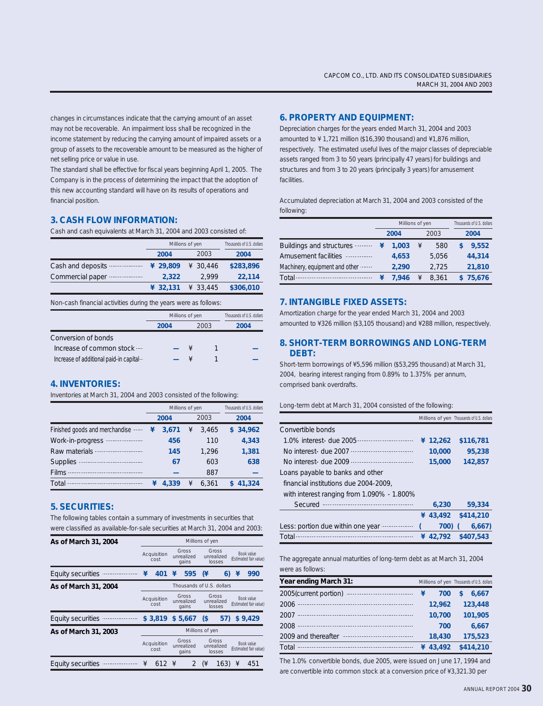changes in circumstances indicate that the carrying amount of an asset may not be recoverable. An impairment loss shall be recognized in the income statement by reducing the carrying amount of impaired assets or a group of assets to the recoverable amount to be measured as the higher of net selling price or value in use.

The standard shall be effective for fiscal years beginning April 1, 2005. The Company is in the process of determining the impact that the adoption of this new accounting standard will have on its results of operations and financial position.

#### **3. CASH FLOW INFORMATION:**

Cash and cash equivalents at March 31, 2004 and 2003 consisted of:

|                   | Millions of yen | Thousands of U.S. dollars |           |
|-------------------|-----------------|---------------------------|-----------|
|                   | 2004            | 2003                      | 2004      |
| Cash and deposits | ¥ 29,809        | ¥ 30.446                  | \$283,896 |
| Commercial paper  | 2.322           | 2.999                     | 22,114    |
|                   | 432.131         | 433,445                   | \$306,010 |

Non-cash financial activities during the years were as follows:

|                                          | Millions of yen | Thousands of U.S. dollars |      |
|------------------------------------------|-----------------|---------------------------|------|
|                                          | 2004            | 2003                      | 2004 |
| Conversion of bonds                      |                 |                           |      |
| Increase of common stock                 |                 |                           |      |
| Increase of additional paid-in capital-- |                 |                           |      |

#### **4. INVENTORIES:**

Inventories at March 31, 2004 and 2003 consisted of the following:

|                                |   | Millions of yen | Thousands of U.S. dollars |       |  |          |
|--------------------------------|---|-----------------|---------------------------|-------|--|----------|
|                                |   | 2004            |                           | 2003  |  | 2004     |
| Finished goods and merchandise | ¥ | 3.671           | ¥                         | 3.465 |  | \$34.962 |
| Work-in-progress<br>.          |   | 456             |                           | 110   |  | 4.343    |
| Raw materials -                |   | 145             |                           | 1.296 |  | 1,381    |
| <b>Supplies</b>                |   | 67              |                           | 603   |  | 638      |
| <b>Films</b>                   |   |                 |                           | 887   |  |          |
| Total                          |   | 4.339           | ¥                         | 6.361 |  | 41,324   |

#### **5. SECURITIES:**

The following tables contain a summary of investments in securities that were classified as available-for-sale securities at March 31, 2004 and 2003:

| As of March 31, 2004     | Millions of yen     |                                      |                              |                              |                               |                               |                                      |                                      |  |                                      |
|--------------------------|---------------------|--------------------------------------|------------------------------|------------------------------|-------------------------------|-------------------------------|--------------------------------------|--------------------------------------|--|--------------------------------------|
|                          | Acquisition<br>cost |                                      | Gross<br>unrealized<br>gains |                              | Gross<br>unrealized<br>losses |                               |                                      | Book value<br>(Estimated fair value) |  |                                      |
| <b>Equity securities</b> | ¥                   | 595<br>¥<br>401                      |                              | (¥                           | 6)                            | ¥                             | 990                                  |                                      |  |                                      |
| As of March 31, 2004     |                     |                                      |                              | Thousands of U.S. dollars    |                               |                               |                                      |                                      |  |                                      |
|                          |                     | Acquisition<br>cost                  |                              | Gross<br>unrealized<br>gains |                               | Gross<br>unrealized<br>losses | Book value<br>(Estimated fair value) |                                      |  |                                      |
| <b>Equity securities</b> |                     | \$3,819                              |                              | \$5.667                      | $\sqrt{3}$                    | 57)                           |                                      | \$9,429                              |  |                                      |
| As of March 31, 2003     |                     |                                      |                              | Millions of yen              |                               |                               |                                      |                                      |  |                                      |
|                          |                     | Gross<br>unrealized<br>cost<br>gains |                              | Acquisition                  |                               |                               |                                      | Gross<br>unrealized<br>losses        |  | Book value<br>(Estimated fair value) |
| <b>Equity securities</b> | ¥                   | 612 ¥                                |                              |                              | $(\frac{1}{2})$               | 163)                          | ¥                                    | 451                                  |  |                                      |

#### **6. PROPERTY AND EQUIPMENT:**

Depreciation charges for the years ended March 31, 2004 and 2003 amounted to ¥ 1,721 million (\$16,390 thousand) and ¥1,876 million, respectively. The estimated useful lives of the major classes of depreciable assets ranged from 3 to 50 years (principally 47 years) for buildings and structures and from 3 to 20 years (principally 3 years) for amusement facilities.

Accumulated depreciation at March 31, 2004 and 2003 consisted of the following:

|                                |              | Millions of yen | Thousands of U.S. dollars |       |          |
|--------------------------------|--------------|-----------------|---------------------------|-------|----------|
|                                | 2003<br>2004 |                 |                           | 2004  |          |
| Buildings and structures       | ¥            | 1.003           | ¥                         | 580   | 9.552    |
| Amusement facilities -         |              | 4,653           |                           | 5,056 | 44,314   |
| Machinery, equipment and other |              | 2.290           |                           | 2.725 | 21,810   |
| Total -                        |              | 7.946           |                           | 8.361 | \$75,676 |

#### **7. INTANGIBLE FIXED ASSETS:**

Amortization charge for the year ended March 31, 2004 and 2003 amounted to ¥326 million (\$3,105 thousand) and ¥288 million, respectively.

#### **8. SHORT-TERM BORROWINGS AND LONG-TERM DEBT:**

Short-term borrowings of ¥5,596 million (\$53,295 thousand) at March 31, 2004, bearing interest ranging from 0.89% to 1.375% per annum, comprised bank overdrafts.

#### Long-term debt at March 31, 2004 consisted of the following:

|                                            |   |        | Millions of yen Thousands of U.S. dollars |
|--------------------------------------------|---|--------|-------------------------------------------|
| Convertible bonds                          |   |        |                                           |
| 1.0% interest- due 2005                    | ¥ | 12,262 | \$116,781                                 |
| No interest- due 2007                      |   | 10,000 | 95,238                                    |
| No interest- due $2009 -$                  |   | 15,000 | 142.857                                   |
| Loans payable to banks and other           |   |        |                                           |
| financial institutions due 2004-2009.      |   |        |                                           |
| with interest ranging from 1.090% - 1.800% |   |        |                                           |
| Secured                                    |   | 6.230  | 59,334                                    |
|                                            | ¥ | 43,492 | \$414,210                                 |
| Less: portion due within one year          |   | 7001   | 6.667                                     |

The aggregate annual maturities of long-term debt as at March 31, 2004 were as follows:

**¥ 42,792 \$407,543** Total

| Year ending March 31:   |   | Millions of yen Thousands of U.S. dollars |   |           |
|-------------------------|---|-------------------------------------------|---|-----------|
| 2005(current portion)   | ¥ | 700                                       | S | 6.667     |
| 2006                    |   | 12.962                                    |   | 123,448   |
| 2007                    |   | 10,700                                    |   | 101,905   |
| 2008                    |   | 700                                       |   | 6,667     |
| 2009 and thereafter<br> |   | 18,430                                    |   | 175,523   |
| Total                   | ¥ | 43,492                                    |   | \$414,210 |

The 1.0% convertible bonds, due 2005, were issued on June 17, 1994 and are convertible into common stock at a conversion price of ¥3,321.30 per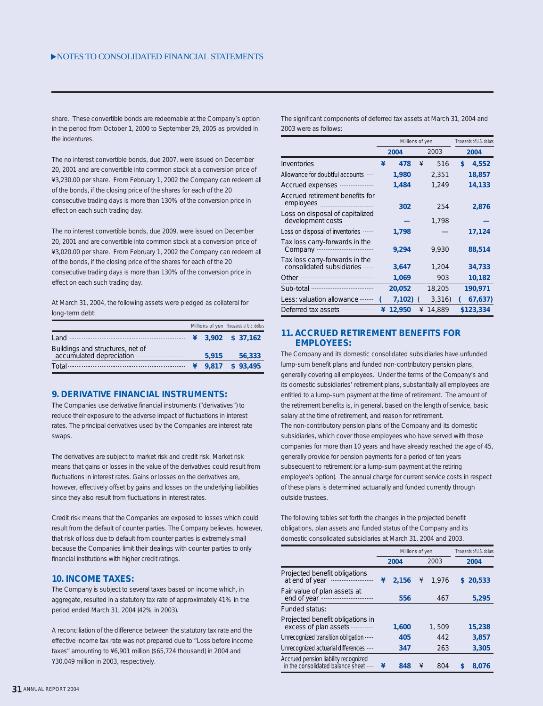share. These convertible bonds are redeemable at the Company's option in the period from October 1, 2000 to September 29, 2005 as provided in the indentures.

The no interest convertible bonds, due 2007, were issued on December 20, 2001 and are convertible into common stock at a conversion price of ¥3,230.00 per share. From February 1, 2002 the Company can redeem all of the bonds, if the closing price of the shares for each of the 20 consecutive trading days is more than 130% of the conversion price in effect on each such trading day.

The no interest convertible bonds, due 2009, were issued on December 20, 2001 and are convertible into common stock at a conversion price of ¥3,020.00 per share. From February 1, 2002 the Company can redeem all of the bonds, if the closing price of the shares for each of the 20 consecutive trading days is more than 130% of the conversion price in effect on each such trading day.

At March 31, 2004, the following assets were pledged as collateral for long-term debt:

|                                                                                                                                                                                                                                                                                                                                             |        | Millions of yen Thousands of U.S. dollars |
|---------------------------------------------------------------------------------------------------------------------------------------------------------------------------------------------------------------------------------------------------------------------------------------------------------------------------------------------|--------|-------------------------------------------|
| $L$ and $\cdots$ $\cdots$ $\cdots$ $\cdots$ $\cdots$ $\cdots$ $\cdots$ $\cdots$ $\cdots$ $\cdots$ $\cdots$ $\cdots$ $\cdots$ $\cdots$ $\cdots$ $\cdots$ $\cdots$ $\cdots$ $\cdots$ $\cdots$ $\cdots$ $\cdots$ $\cdots$ $\cdots$ $\cdots$ $\cdots$ $\cdots$ $\cdots$ $\cdots$ $\cdots$ $\cdots$ $\cdots$ $\cdots$ $\cdots$ $\cdots$ $\cdots$ |        | $\frac{4}{1}$ 3.902 \$ 37.162             |
| Buildings and structures, net of<br>accumulated depreciation                                                                                                                                                                                                                                                                                | 5.915  | 56,333                                    |
| Total -                                                                                                                                                                                                                                                                                                                                     | 49.817 | \$93,495                                  |

#### **9. DERIVATIVE FINANCIAL INSTRUMENTS:**

The Companies use derivative financial instruments ("derivatives") to reduce their exposure to the adverse impact of fluctuations in interest rates. The principal derivatives used by the Companies are interest rate swaps.

The derivatives are subject to market risk and credit risk. Market risk means that gains or losses in the value of the derivatives could result from fluctuations in interest rates. Gains or losses on the derivatives are, however, effectively offset by gains and losses on the underlying liabilities since they also result from fluctuations in interest rates.

Credit risk means that the Companies are exposed to losses which could result from the default of counter parties. The Company believes, however, that risk of loss due to default from counter parties is extremely small because the Companies limit their dealings with counter parties to only financial institutions with higher credit ratings.

#### **10. INCOME TAXES:**

The Company is subject to several taxes based on income which, in aggregate, resulted in a statutory tax rate of approximately 41% in the period ended March 31, 2004 (42% in 2003).

A reconciliation of the difference between the statutory tax rate and the effective income tax rate was not prepared due to "Loss before income taxes" amounting to ¥6,901 million (\$65,724 thousand) in 2004 and ¥30,049 million in 2003, respectively.

The significant components of deferred tax assets at March 31, 2004 and 2003 were as follows:

|                                                             |   | Millions of yen | Thousands of U.S. dollars |        |             |
|-------------------------------------------------------------|---|-----------------|---------------------------|--------|-------------|
|                                                             |   | 2004            |                           | 2003   | 2004        |
| Inventories                                                 | ¥ | 478             | ¥                         | 516    | \$<br>4,552 |
| Allowance for doubtful accounts                             |   | 1,980           |                           | 2,351  | 18,857      |
| Accrued expenses                                            |   | 1,484           |                           | 1,249  | 14,133      |
| Accrued retirement benefits for<br>employees                |   | 302             |                           | 254    | 2,876       |
| Loss on disposal of capitalized<br>development costs        |   |                 |                           | 1,798  |             |
| Loss on disposal of inventories -                           |   | 1,798           |                           |        | 17,124      |
| Tax loss carry-forwards in the<br>Company                   |   | 9,294           |                           | 9,930  | 88,514      |
| Tax loss carry-forwards in the<br>consolidated subsidiaries |   | 3,647           |                           | 1,204  | 34,733      |
|                                                             |   | 1,069           |                           | 903    | 10,182      |
| Sub-total manufactured and sub-                             |   | 20,052          |                           | 18,205 | 190,971     |
| Less: valuation allowance                                   |   | 7,102)          |                           | 3,316  | 67,637)     |
| Deferred tax assets --                                      | ¥ | 12,950          | ¥                         | 14,889 | \$123,334   |

#### **11. ACCRUED RETIREMENT BENEFITS FOR EMPLOYEES:**

The Company and its domestic consolidated subsidiaries have unfunded lump-sum benefit plans and funded non-contributory pension plans, generally covering all employees. Under the terms of the Company's and its domestic subsidiaries' retirement plans, substantially all employees are entitled to a lump-sum payment at the time of retirement. The amount of the retirement benefits is, in general, based on the length of service, basic salary at the time of retirement, and reason for retirement. The non-contributory pension plans of the Company and its domestic subsidiaries, which cover those employees who have served with those companies for more than 10 years and have already reached the age of 45, generally provide for pension payments for a period of ten years subsequent to retirement (or a lump-sum payment at the retiring employee's option). The annual charge for current service costs in respect of these plans is determined actuarially and funded currently through outside trustees.

The following tables set forth the changes in the projected benefit obligations, plan assets and funded status of the Company and its domestic consolidated subsidiaries at March 31, 2004 and 2003.

|                                                                           |   | Millions of yen |   | Thousands of U.S. dollars |    |        |
|---------------------------------------------------------------------------|---|-----------------|---|---------------------------|----|--------|
|                                                                           |   | 2004            |   | 2003                      |    | 2004   |
| Projected benefit obligations<br>at end of year                           | ¥ | 2.156           | ¥ | 1.976                     | S. | 20,533 |
| Fair value of plan assets at<br>end of year                               |   | 556             |   | 467                       |    | 5,295  |
| Funded status:                                                            |   |                 |   |                           |    |        |
| Projected benefit obligations in<br>excess of plan assets                 |   | 1.600           |   | 1,509                     |    | 15,238 |
| Unrecognized transition obligation                                        |   | 405             |   | 442                       |    | 3.857  |
| Unrecognized actuarial differences                                        |   | 347             |   | 263                       |    | 3.305  |
| Accrued pension liability recognized<br>in the consolidated balance sheet | ¥ | 848             | ¥ | 804                       | S  | 8.076  |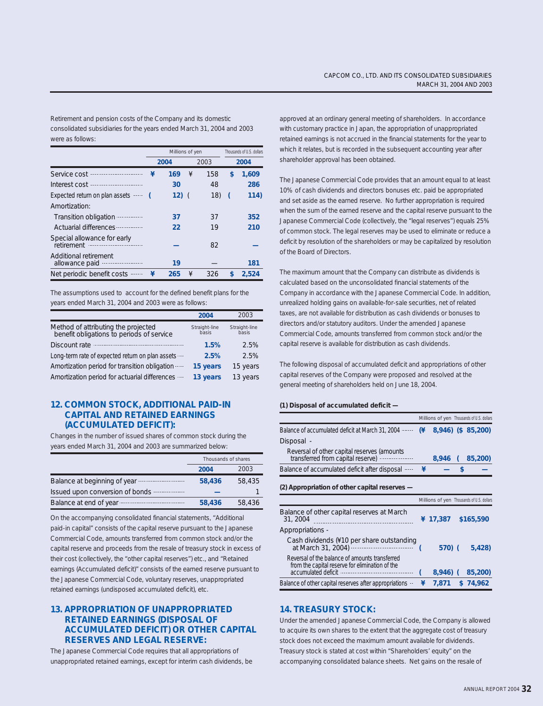Retirement and pension costs of the Company and its domestic consolidated subsidiaries for the years ended March 31, 2004 and 2003 were as follows:

|                                              |   | Millions of yen |   | Thousands of U.S. dollars |      |       |
|----------------------------------------------|---|-----------------|---|---------------------------|------|-------|
|                                              |   | 2004            |   | 2003                      | 2004 |       |
| Service cost                                 | ¥ | 169             | ¥ | 158                       | \$   | 1,609 |
| Interest cost<br>                            |   | 30              |   | 48                        |      | 286   |
| Expected return on plan assets               |   | 12)             |   | 18)                       |      | 114)  |
| Amortization:                                |   |                 |   |                           |      |       |
| Transition obligation                        |   | 37              |   | 37                        |      | 352   |
| Actuarial differences                        |   | 22              |   | 19                        |      | 210   |
| Special allowance for early                  |   |                 |   | 82                        |      |       |
| Additional retirement<br>allowance paid<br>. |   | 19              |   |                           |      | 181   |
| Net periodic benefit costs                   |   | 265             | ¥ | 326                       | S    | 2,524 |

The assumptions used to account for the defined benefit plans for the years ended March 31, 2004 and 2003 were as follows:

|                                                                                  | 2004                   | 2003                   |
|----------------------------------------------------------------------------------|------------------------|------------------------|
| Method of attributing the projected<br>benefit obligations to periods of service | Straight-line<br>basis | Straight-line<br>basis |
| Discount rate                                                                    | 1.5%                   | 2.5%                   |
| Long-term rate of expected return on plan assets                                 | 2.5%                   | 2.5%                   |
| Amortization period for transition obligation                                    | 15 years               | 15 years               |
| Amortization period for actuarial differences                                    | 13 years               | 13 years               |

#### **12. COMMON STOCK, ADDITIONAL PAID-IN CAPITAL AND RETAINED EARNINGS (ACCUMULATED DEFICIT):**

Changes in the number of issued shares of common stock during the years ended March 31, 2004 and 2003 are summarized below:

|                                 | Thousands of shares |        |  |
|---------------------------------|---------------------|--------|--|
|                                 | 2004                | 2003   |  |
| Balance at beginning of year    | 58,436              | 58,435 |  |
| Issued upon conversion of bonds |                     |        |  |
| Balance at end of year          | 58,436              | 58,436 |  |

On the accompanying consolidated financial statements, "Additional paid-in capital" consists of the capital reserve pursuant to the Japanese Commercial Code, amounts transferred from common stock and/or the capital reserve and proceeds from the resale of treasury stock in excess of their cost (collectively, the "other capital reserves") etc., and "Retained earnings (Accumulated deficit)" consists of the earned reserve pursuant to the Japanese Commercial Code, voluntary reserves, unappropriated retained earnings (undisposed accumulated deficit), etc.

#### **13. APPROPRIATION OF UNAPPROPRIATED RETAINED EARNINGS (DISPOSAL OF ACCUMULATED DEFICIT) OR OTHER CAPITAL RESERVES AND LEGAL RESERVE:**

The Japanese Commercial Code requires that all appropriations of unappropriated retained earnings, except for interim cash dividends, be

approved at an ordinary general meeting of shareholders. In accordance with customary practice in Japan, the appropriation of unappropriated retained earnings is not accrued in the financial statements for the year to which it relates, but is recorded in the subsequent accounting year after shareholder approval has been obtained.

The Japanese Commercial Code provides that an amount equal to at least 10% of cash dividends and directors bonuses etc. paid be appropriated and set aside as the earned reserve. No further appropriation is required when the sum of the earned reserve and the capital reserve pursuant to the Japanese Commercial Code (collectively, the "legal reserves") equals 25% of common stock. The legal reserves may be used to eliminate or reduce a deficit by resolution of the shareholders or may be capitalized by resolution of the Board of Directors.

The maximum amount that the Company can distribute as dividends is calculated based on the unconsolidated financial statements of the Company in accordance with the Japanese Commercial Code. In addition, unrealized holding gains on available-for-sale securities, net of related taxes, are not available for distribution as cash dividends or bonuses to directors and/or statutory auditors. Under the amended Japanese Commercial Code, amounts transferred from common stock and/or the capital reserve is available for distribution as cash dividends.

The following disposal of accumulated deficit and appropriations of other capital reserves of the Company were proposed and resolved at the general meeting of shareholders held on June 18, 2004.

#### **(1) Disposal of accumulated deficit —**

|                                                                                  |    |          | Millions of yen Thousands of U.S. dollars |
|----------------------------------------------------------------------------------|----|----------|-------------------------------------------|
| Balance of accumulated deficit at March 31, 2004                                 | (¥ |          | 8,946) (\$85,200)                         |
| Disposal -                                                                       |    |          |                                           |
| Reversal of other capital reserves (amounts<br>transferred from capital reserve) |    | 8.946    | 85,200)                                   |
| Balance of accumulated deficit after disposal $\cdots$ ¥                         |    |          |                                           |
| (2) Appropriation of other capital reserves -                                    |    |          |                                           |
|                                                                                  |    |          | Millions of yen Thousands of U.S. dollars |
| Balance of other capital reserves at March<br>31, 2004                           |    | ¥ 17.387 | \$165,590                                 |
| Appropriations -                                                                 |    |          |                                           |

| Cash dividends (¥10 per share outstanding<br>at March 31, 2004)                                   | 570(            | 5.428 |
|---------------------------------------------------------------------------------------------------|-----------------|-------|
| Reversal of the balance of amounts transferred<br>from the capital reserve for elimination of the | 8,946) (85,200) |       |
| Balance of other capital reserves after appropriations $\cdot$ $\neq$ 7,871 \$ 74,962             |                 |       |

#### **14. TREASURY STOCK:**

Under the amended Japanese Commercial Code, the Company is allowed to acquire its own shares to the extent that the aggregate cost of treasury stock does not exceed the maximum amount available for dividends. Treasury stock is stated at cost within "Shareholders' equity" on the accompanying consolidated balance sheets. Net gains on the resale of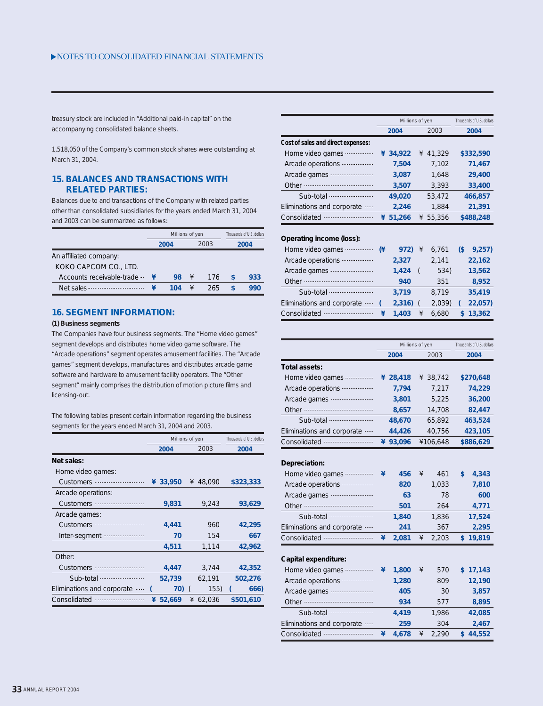treasury stock are included in "Additional paid-in capital" on the accompanying consolidated balance sheets.

1,518,050 of the Company's common stock shares were outstanding at March 31, 2004.

#### **15. BALANCES AND TRANSACTIONS WITH RELATED PARTIES:**

Balances due to and transactions of the Company with related parties other than consolidated subsidiaries for the years ended March 31, 2004 and 2003 can be summarized as follows:

|                           | Millions of yen | Thousands of U.S. dollars |      |      |     |  |
|---------------------------|-----------------|---------------------------|------|------|-----|--|
|                           | 2004            |                           | 2003 | 2004 |     |  |
| An affiliated company:    |                 |                           |      |      |     |  |
| KOKO CAPCOM CO., LTD.     |                 |                           |      |      |     |  |
| Accounts receivable-trade | 98              | ¥                         | 176  |      | 933 |  |
| Net sales                 | 104             |                           | 265  |      | 990 |  |

#### **16. SEGMENT INFORMATION:**

#### **(1) Business segments**

The Companies have four business segments. The "Home video games" segment develops and distributes home video game software. The "Arcade operations" segment operates amusement facilities. The "Arcade games" segment develops, manufactures and distributes arcade game software and hardware to amusement facility operators. The "Other segment" mainly comprises the distribution of motion picture films and licensing-out.

The following tables present certain information regarding the business segments for the years ended March 31, 2004 and 2003.

|                            | Millions of yen |          |   |        |  | Thousands of U.S. dollars |
|----------------------------|-----------------|----------|---|--------|--|---------------------------|
|                            |                 | 2004     |   | 2003   |  | 2004                      |
| Net sales:                 |                 |          |   |        |  |                           |
| Home video games:          |                 |          |   |        |  |                           |
| <b>Customers</b>           |                 | ¥ 33,950 | ¥ | 48,090 |  | \$323,333                 |
| Arcade operations:         |                 |          |   |        |  |                           |
| <b>Customers</b>           |                 | 9,831    |   | 9,243  |  | 93,629                    |
| Arcade games:              |                 |          |   |        |  |                           |
| <b>Customers</b>           |                 | 4,441    |   | 960    |  | 42,295                    |
| Inter-segment              |                 | 70       |   | 154    |  | 667                       |
|                            |                 | 4.511    |   | 1.114  |  | 42.962                    |
| Other:                     |                 |          |   |        |  |                           |
| <b>Customers</b>           |                 | 4,447    |   | 3,744  |  | 42,352                    |
| Sub-total                  |                 | 52,739   |   | 62,191 |  | 502,276                   |
| Eliminations and corporate |                 | 70)      |   | 155)   |  | 666)                      |
| Consolidated               | ¥               | 52,669   | ¥ | 62,036 |  | \$501,610                 |

|                                    | Millions of yen | Thousands of U.S. dollars |           |
|------------------------------------|-----------------|---------------------------|-----------|
|                                    | 2004            | 2004                      |           |
| Cost of sales and direct expenses: |                 |                           |           |
| Home video games                   | 34,922<br>¥     | 41,329<br>¥               | \$332,590 |
| Arcade operations                  | 7.504           | 7.102                     | 71.467    |
| Arcade games                       | 3,087           | 1.648                     | 29,400    |
| Other                              | 3,507           | 3.393                     | 33,400    |
| Sub-total                          | 49,020          | 53,472                    | 466,857   |
| Eliminations and corporate         | 2.246           | 1.884                     | 21,391    |
| Consolidated                       | 51,266<br>¥     | 55,356<br>¥               | \$488,248 |

#### **Operating income (loss):**

| Home video games           | (¥ | 972)  | ¥ | 6.761  | (\$ | 9,257   |
|----------------------------|----|-------|---|--------|-----|---------|
| Arcade operations          |    | 2,327 |   | 2,141  |     | 22,162  |
| Arcade games               |    | 1.424 |   | 534)   |     | 13,562  |
| Other                      |    | 940   |   | 351    |     | 8,952   |
| Sub-total                  |    | 3.719 |   | 8.719  |     | 35,419  |
| Eliminations and corporate |    | 2,316 |   | 2,039) |     | 22,057) |
| Consolidated               |    | 1.403 | ¥ | 6.680  |     | 13,362  |

|                                    |   | Millions of yen |   |          | Thousands of U.S. dollars |           |  |
|------------------------------------|---|-----------------|---|----------|---------------------------|-----------|--|
|                                    |   | 2004            |   | 2003     |                           | 2004      |  |
| Total assets:                      |   |                 |   |          |                           |           |  |
| Home video games --<br>.           |   | ¥ 28,418        |   | ¥ 38,742 |                           | \$270,648 |  |
| Arcade operations                  |   | 7,794           |   | 7,217    |                           | 74,229    |  |
| Arcade games                       |   | 3,801           |   | 5,225    |                           | 36,200    |  |
| <br>Other -                        |   | 8,657           |   | 14,708   |                           | 82,447    |  |
|                                    |   | 48,670          |   | 65,892   |                           | 463,524   |  |
| Eliminations and corporate         |   | 44,426          |   | 40,756   |                           | 423,105   |  |
|                                    |   | ¥ 93,096        |   | ¥106,648 |                           | \$886,629 |  |
|                                    |   |                 |   |          |                           |           |  |
| Depreciation:                      |   |                 |   |          |                           |           |  |
| Home video games -<br>.            | ¥ | 456             | ¥ | 461      | \$                        | 4,343     |  |
| Arcade operations                  |   | 820             |   | 1,033    |                           | 7,810     |  |
|                                    |   | 63              |   | 78       |                           | 600       |  |
|                                    |   | 501             |   | 264      |                           | 4,771     |  |
|                                    |   | 1,840           |   | 1,836    |                           | 17,524    |  |
| Eliminations and corporate         |   | 241             |   | 367      |                           | 2,295     |  |
|                                    | ¥ | 2,081           | ¥ | 2,203    |                           | \$19,819  |  |
|                                    |   |                 |   |          |                           |           |  |
| Capital expenditure:               |   |                 |   |          |                           |           |  |
| Home video games -<br>.            | ¥ | 1,800           | ¥ | 570      |                           | \$17,143  |  |
| Arcade operations                  |   | 1,280           |   | 809      |                           | 12,190    |  |
|                                    |   | 405             |   | 30       |                           | 3,857     |  |
| Other                              |   | 934             |   | 577      |                           | 8,895     |  |
| Sub-total ------------------------ |   | 4,419           |   | 1,986    |                           | 42,085    |  |
| Eliminations and corporate         |   | 259             |   | 304      |                           | 2,467     |  |
|                                    | ¥ | 4,678           | ¥ | 2,290    |                           | \$44,552  |  |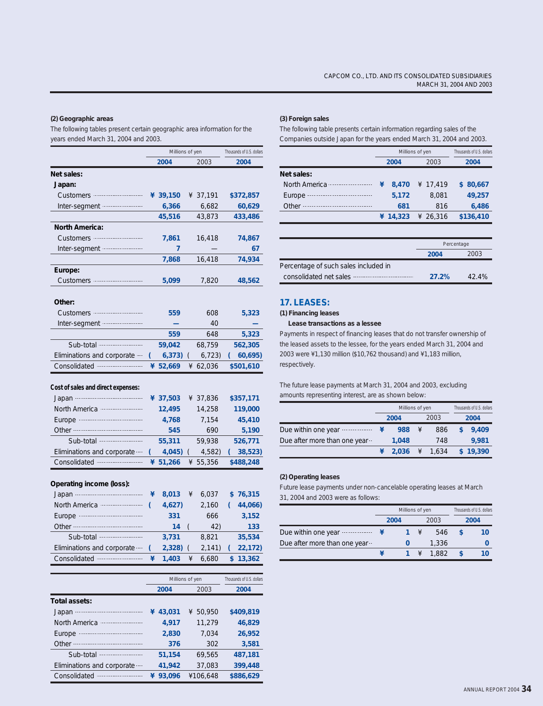#### **(2) Geographic areas**

The following tables present certain geographic area information for the years ended March 31, 2004 and 2003.

|                                    |                 | Millions of yen |                           |          | Thousands of U.S. dollars |
|------------------------------------|-----------------|-----------------|---------------------------|----------|---------------------------|
|                                    |                 | 2004            |                           | 2003     | 2004                      |
| Net sales:                         |                 |                 |                           |          |                           |
| Japan:                             |                 |                 |                           |          |                           |
| Customers ·····                    |                 | ¥ 39,150        |                           | ¥ 37,191 | \$372,857                 |
| Inter-segment …                    |                 | 6,366           |                           | 6,682    | 60,629                    |
|                                    |                 | 45,516          |                           | 43,873   | 433,486                   |
| North America:                     |                 |                 |                           |          |                           |
| Customers                          |                 | 7,861           |                           | 16,418   | 74,867                    |
| Inter-segment <b></b>              |                 | 7               |                           |          | 67                        |
|                                    |                 | 7,868           |                           | 16,418   | 74,934                    |
| Europe:                            |                 |                 |                           |          |                           |
| Customers ····                     |                 | 5,099           |                           | 7,820    | 48,562                    |
|                                    |                 |                 |                           |          |                           |
| Other:                             |                 |                 |                           |          |                           |
| Customers                          |                 | 559             |                           | 608      | 5,323                     |
| Inter-segment <i></i>              |                 |                 |                           | 40       |                           |
|                                    |                 | 559             |                           | 648      | 5,323                     |
|                                    |                 | 59,042          |                           | 68,759   | 562,305                   |
| Eliminations and corporate         | (               | 6,373)          | $\sqrt{2}$                | 6,723    | 60,695)                   |
|                                    | ¥               | 52,669          | ¥                         | 62,036   | \$501,610                 |
|                                    |                 |                 |                           |          |                           |
| Cost of sales and direct expenses: |                 |                 |                           |          |                           |
|                                    |                 | ¥ 37,503        |                           | ¥ 37,836 | \$357,171                 |
| North America                      |                 | 12,495          |                           | 14,258   | 119,000                   |
|                                    |                 | 4,768           |                           | 7,154    | 45,410                    |
|                                    |                 | 545             |                           | 690      | 5,190                     |
| Sub-total <b>manual</b>            |                 | 55,311          | 59,938                    |          | 526,771                   |
| Eliminations and corporate         | (               | 4,045)          | $\sqrt{2}$                | 4,582)   | 38,523)                   |
|                                    |                 | ¥ 51,266        |                           | ¥ 55,356 | \$488,248                 |
|                                    |                 |                 |                           |          |                           |
| Operating income (loss):           |                 |                 |                           |          |                           |
|                                    | ¥               | 8,013           | ¥                         | 6,037    | \$76,315                  |
|                                    | (               | 4,627)          |                           | 2,160    | 44,066)<br><sub>(</sub>   |
|                                    |                 | 331             |                           | 666      | 3,152                     |
|                                    |                 | 14              | (                         | 42)      | 133                       |
|                                    |                 | 3,731           |                           | 8,821    | 35,534                    |
| Eliminations and corporate         |                 | 2,328)          |                           | 2,141)   | 22,172)                   |
| Consolidated --                    | ¥               | 1,403           | ¥                         | 6,680    | 13,362<br>\$              |
|                                    |                 |                 |                           |          |                           |
|                                    | Millions of yen |                 | Thousands of U.S. dollars |          |                           |
|                                    |                 | 2004            |                           | 2003     | 2004                      |
| Total assets:                      |                 |                 |                           |          |                           |
| Japan ·                            | ¥               | 43,031          | ¥                         | 50,950   | \$409,819                 |
|                                    |                 | 4,917           |                           | 11,279   | 46,829                    |
| <br>Europe $\cdot$                 |                 | 2,830           |                           | 7,034    | 26,952                    |
| Other …………………………………                |                 | 376             |                           | 302      | 3,581                     |

**51,154 41,942**

69,565 37,083

**¥ 93,096** ¥106,648 Consolidated

 Sub-total Eliminations and corporate ....

#### **(3) Foreign sales**

The following table presents certain information regarding sales of the Companies outside Japan for the years ended March 31, 2004 and 2003.

|                   |   | Millions of yen | Thousands of U.S. dollars |          |           |
|-------------------|---|-----------------|---------------------------|----------|-----------|
|                   |   | 2003<br>2004    |                           |          | 2004      |
| Net sales:        |   |                 |                           |          |           |
| North America<br> | ¥ | 8.470           |                           | ¥ 17.419 | \$80.667  |
| Europe            |   | 5.172           |                           | 8.081    | 49.257    |
| Other             |   | 681             |                           | 816      | 6,486     |
|                   |   | ¥ $14.323$      |                           | 426.316  | \$136,410 |

|                                      | Percentage |       |  |
|--------------------------------------|------------|-------|--|
|                                      | 2004       | 2003  |  |
| Percentage of such sales included in |            |       |  |
|                                      | 27.2%      | 42.4% |  |

#### **17. LEASES:**

#### **(1) Financing leases**

 **Lease transactions as a lessee**

Payments in respect of financing leases that do not transfer ownership of the leased assets to the lessee, for the years ended March 31, 2004 and 2003 were ¥1,130 million (\$10,762 thousand) and ¥1,183 million, respectively.

The future lease payments at March 31, 2004 and 2003, excluding amounts representing interest, are as shown below:

|                                     | Millions of yen |       | Thousands of U.S. dollars |       |  |          |  |
|-------------------------------------|-----------------|-------|---------------------------|-------|--|----------|--|
|                                     |                 | 2004  |                           | 2003  |  | 2004     |  |
| Due within one year <b>contains</b> |                 | 988   | ¥                         | 886   |  | 9.409    |  |
| Due after more than one year        |                 | 1.048 |                           | 748   |  | 9.981    |  |
|                                     |                 | 2.036 |                           | 1.634 |  | \$19.390 |  |

#### **(2) Operating leases**

**487,181 399,448 \$886,629**

Future lease payments under non-cancelable operating leases at March 31, 2004 and 2003 were as follows:

|                              | Millions of yen |  | Thousands of U.S. dollars |       |      |    |
|------------------------------|-----------------|--|---------------------------|-------|------|----|
|                              | 2004            |  |                           | 2003  | 2004 |    |
| Due within one year          |                 |  | ¥                         | 546   |      | 10 |
| Due after more than one year |                 |  |                           | 1.336 |      |    |
|                              |                 |  | $1 \quad 4$               | 1.882 |      | 10 |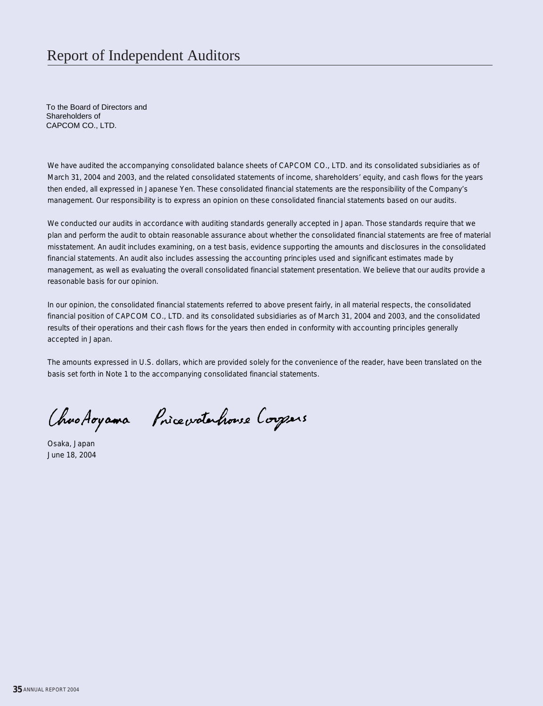### Report of Independent Auditors

To the Board of Directors and Shareholders of CAPCOM CO., LTD.

We have audited the accompanying consolidated balance sheets of CAPCOM CO., LTD, and its consolidated subsidiaries as of March 31, 2004 and 2003, and the related consolidated statements of income, shareholders' equity, and cash flows for the years then ended, all expressed in Japanese Yen. These consolidated financial statements are the responsibility of the Company's management. Our responsibility is to express an opinion on these consolidated financial statements based on our audits.

We conducted our audits in accordance with auditing standards generally accepted in Japan. Those standards require that we plan and perform the audit to obtain reasonable assurance about whether the consolidated financial statements are free of material misstatement. An audit includes examining, on a test basis, evidence supporting the amounts and disclosures in the consolidated financial statements. An audit also includes assessing the accounting principles used and significant estimates made by management, as well as evaluating the overall consolidated financial statement presentation. We believe that our audits provide a reasonable basis for our opinion.

In our opinion, the consolidated financial statements referred to above present fairly, in all material respects, the consolidated financial position of CAPCOM CO., LTD. and its consolidated subsidiaries as of March 31, 2004 and 2003, and the consolidated results of their operations and their cash flows for the years then ended in conformity with accounting principles generally accepted in Japan.

 basis set forth in Note 1 to the accompanying consolidated financial statements. The amounts expressed in U.S. dollars, which are provided solely for the convenience of the reader, have been translated on the

Chro Aoyama Pricevotationse Corpors

Osaka, Japan June 18, 2004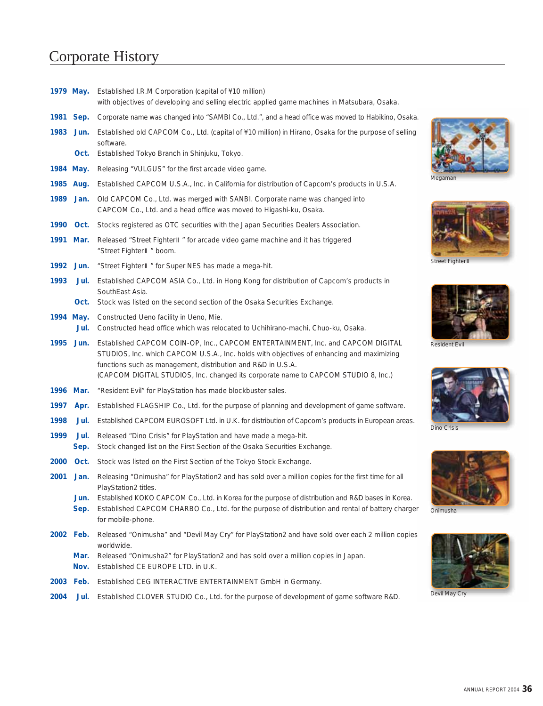### Corporate History

Devil May Cry Onimusha Dino Crisis Resident Evil Street Fighte Megaman **1979 May. 1981 Sep. 1983 Jun. 1984 May. 1985 Aug. 1989 Jan.** Old CAPCOM Co., Ltd. was merged with SANBI. Corporate name was changed into **1990 Oct.** Stocks registered as OTC securities with the Japan Securities Dealers Association. **1991 Mar. 1992 Jun. 1993 1994 May. 1995 Jun.** Established CAPCOM COIN-OP, Inc., CAPCOM ENTERTAINMENT, Inc. and CAPCOM DIGITAL **1996 Mar.** "Resident Evil" for PlayStation has made blockbuster sales. **1997 1998 1999 2000 Oct. 2001 Jan. 2002 Feb.** Released "Onimusha" and "Devil May Cry" for PlayStation2 and have sold over each 2 million copies **2003 Feb.** Established CEG INTERACTIVE ENTERTAINMENT GmbH in Germany. **2004 Oct.** Established Tokyo Branch in Shinjuku, Tokyo. **Jul.** Established CAPCOM ASIA Co., Ltd. in Hong Kong for distribution of Capcom's products in **Oct.** Stock was listed on the second section of the Osaka Securities Exchange. **Jul. Apr.** Established FLAGSHIP Co., Ltd. for the purpose of planning and development of game software. **Jul. Jul. Sep. Jun. Sep. Mar.** Released "Onimusha2" for PlayStation2 and has sold over a million copies in Japan. **Nov.** Established CE EUROPE LTD. in U.K. **Jul.** Established CLOVER STUDIO Co., Ltd. for the purpose of development of game software R&D. Established I.R.M Corporation (capital of ¥10 million) with objectives of developing and selling electric applied game machines in Matsubara, Osaka. Corporate name was changed into "SAMBI Co., Ltd.", and a head office was moved to Habikino, Osaka. Established old CAPCOM Co., Ltd. (capital of ¥10 million) in Hirano, Osaka for the purpose of selling software. Releasing "VULGUS" for the first arcade video game. Established CAPCOM U.S.A., Inc. in California for distribution of Capcom's products in U.S.A. CAPCOM Co., Ltd. and a head office was moved to Higashi-ku, Osaka. Released "Street Fighter " for arcade video game machine and it has triggered "Street Fighter " boom. "Street Fighter " for Super NES has made a mega-hit. SouthEast Asia. Constructed Ueno facility in Ueno, Mie. Constructed head office which was relocated to Uchihirano-machi, Chuo-ku, Osaka. STUDIOS, Inc. which CAPCOM U.S.A., Inc. holds with objectives of enhancing and maximizing functions such as management, distribution and R&D in U.S.A. (CAPCOM DIGITAL STUDIOS, Inc. changed its corporate name to CAPCOM STUDIO 8, Inc.) Established CAPCOM EUROSOFT Ltd. in U.K. for distribution of Capcom's products in European areas. Released "Dino Crisis" for PlayStation and have made a mega-hit. Stock changed list on the First Section of the Osaka Securities Exchange. Stock was listed on the First Section of the Tokyo Stock Exchange. Releasing "Onimusha" for PlayStation2 and has sold over a million copies for the first time for all PlayStation2 titles. Established KOKO CAPCOM Co., Ltd. in Korea for the purpose of distribution and R&D bases in Korea. Established CAPCOM CHARBO Co., Ltd. for the purpose of distribution and rental of battery charger for mobile-phone. worldwide.

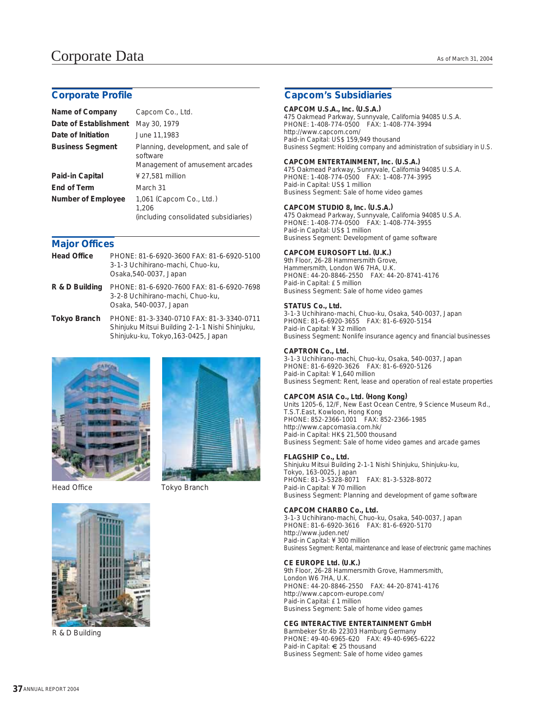| Name of Company         | Capcom Co., Ltd.                                                                  |
|-------------------------|-----------------------------------------------------------------------------------|
| Date of Establishment   | May 30, 1979                                                                      |
| Date of Initiation      | June 11,1983                                                                      |
| <b>Business Segment</b> | Planning, development, and sale of<br>software<br>Management of amusement arcades |
| Paid-in Capital         | ¥ 27,581 million                                                                  |
| End of Term             | March 31                                                                          |
| Number of Employee      | 1,061 (Capcom Co., Ltd.)<br>1,206<br>(including consolidated subsidiaries)        |

#### **Major Offices**

| <b>Head Office</b> | PHONE: 81-6-6920-3600 FAX: 81-6-6920-5100<br>3-1-3 Uchihirano-machi, Chuo-ku,<br>Osaka, 540-0037, Japan |
|--------------------|---------------------------------------------------------------------------------------------------------|
| R & D Building     | PHONE: 81-6-6920-7600 FAX: 81-6-6920-7698<br>3-2-8 Uchihirano-machi, Chuo-ku,<br>Osaka, 540-0037, Japan |

PHONE: 81-3-3340-0710 FAX: 81-3-3340-0711 Shinjuku Mitsui Building 2-1-1 Nishi Shinjuku, Shinjuku-ku, Tokyo,163-0425, Japan **Tokyo Branch**





Head Office Tokyo Branch

#### **Corporate Profile Capcom's Subsidiaries**

**CAPCOM U.S.A., Inc. (U.S.A.)** 475 Oakmead Parkway, Sunnyvale, California 94085 U.S.A. PHONE: 1-408-774-0500 FAX: 1-408-774-3994 http://www.capcom.com/ Paid-in Capital: US\$ 159,949 thousand Business Segment: Holding company and administration of subsidiary in U.S.

**CAPCOM ENTERTAINMENT, Inc. (U.S.A.)** 475 Oakmead Parkway, Sunnyvale, California 94085 U.S.A. PHONE: 1-408-774-0500 FAX: 1-408-774-3995 Paid-in Capital: US\$ 1 million Business Segment: Sale of home video games

### **CAPCOM STUDIO 8, Inc. (U.S.A.)**

475 Oakmead Parkway, Sunnyvale, California 94085 U.S.A. PHONE: 1-408-774-0500 FAX: 1-408-774-3955 Paid-in Capital: US\$ 1 million Business Segment: Development of game software

### **CAPCOM EUROSOFT Ltd. (U.K.)**

9th Floor, 26-28 Hammersmith Grove, Hammersmith, London W6 7HA, U.K. PHONE: 44-20-8846-2550 FAX: 44-20-8741-4176 Paid-in Capital: £ 5 million Business Segment: Sale of home video games

#### **STATUS Co., Ltd.**

3-1-3 Uchihirano-machi, Chuo-ku, Osaka, 540-0037, Japan PHONE: 81-6-6920-3655 FAX: 81-6-6920-5154 Paid-in Capital: ¥ 32 million Business Segment: Nonlife insurance agency and financial businesses

#### **CAPTRON Co., Ltd.**

3-1-3 Uchihirano-machi, Chuo-ku, Osaka, 540-0037, Japan PHONE: 81-6-6920-3626 FAX: 81-6-6920-5126 Paid-in Capital: ¥ 1,640 million Business Segment: Rent, lease and operation of real estate properties

### **CAPCOM ASIA Co., Ltd. (Hong Kong)**

Units 1205-6, 12/F, New East Ocean Centre, 9 Science Museum Rd., T.S.T.East, Kowloon, Hong Kong PHONE: 852-2366-1001 FAX: 852-2366-1985 http://www.capcomasia.com.hk/ Paid-in Capital: HK\$ 21,500 thousand Business Segment: Sale of home video games and arcade games

#### **FLAGSHIP Co., Ltd.**

Shinjuku Mitsui Building 2-1-1 Nishi Shinjuku, Shinjuku-ku, Tokyo, 163-0025, Japan PHONE: 81-3-5328-8071 FAX: 81-3-5328-8072 Paid-in Capital: ¥ 70 million Business Segment: Planning and development of game software

#### **CAPCOM CHARBO Co., Ltd.**

3-1-3 Uchihirano-machi, Chuo-ku, Osaka, 540-0037, Japan PHONE: 81-6-6920-3616 FAX: 81-6-6920-5170 http://www.juden.net/ Paid-in Capital: ¥ 300 million Business Segment: Rental, maintenance and lease of electronic game machines

#### **CE EUROPE Ltd. (U.K.)**

9th Floor, 26-28 Hammersmith Grove, Hammersmith, London W6 7HA, U.K. PHONE: 44-20-8846-2550 FAX: 44-20-8741-4176 http://www.capcom-europe.com/ Paid-in Capital: £ 1 million Business Segment: Sale of home video games

#### **CEG INTERACTIVE ENTERTAINMENT GmbH**

Barmbeker Str.4b 22303 Hamburg Germany PHONE: 49-40-6965-620 FAX: 49-40-6965-6222 Paid-in Capital: € 25 thousand Business Segment: Sale of home video games



R & D Building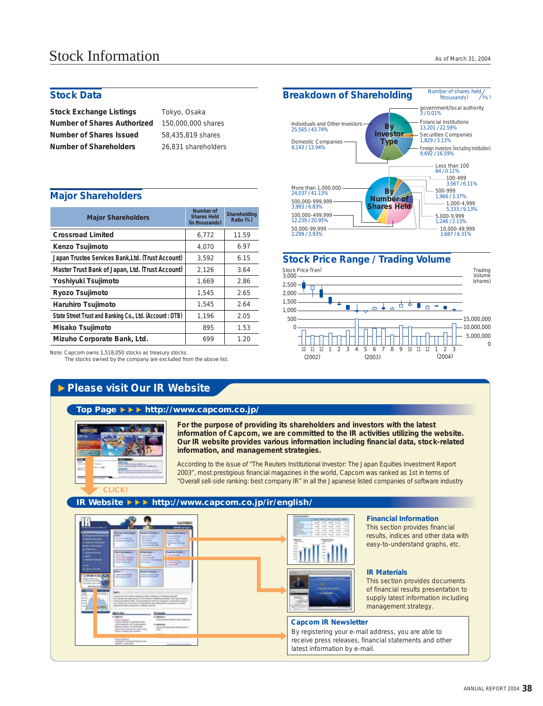**Stock Exchange Listings Number of Shares Authorized Number of Shares Issued Number of Shareholders**

Tokyo, Osaka 150,000,000 shares 58,435,819 shares

#### **Major Shareholders**

| <b>Major Shareholders</b>                               | Number of<br><b>Shares Held</b><br>(in thousands) | Shareholding<br>Ratio (%) |  |
|---------------------------------------------------------|---------------------------------------------------|---------------------------|--|
| <b>Crossroad Limited</b>                                | 6,772                                             | 11.59                     |  |
| Kenzo Tsujimoto                                         | 4.070                                             | 6.97                      |  |
| Japan Trustee Services Bank, Ltd. (Trust Account)       | 3,592                                             | 6.15                      |  |
| Master Trust Bank of Japan, Ltd. (Trust Account)        | 2,126                                             | 3.64                      |  |
| Yoshiyuki Tsujimoto                                     | 1.669                                             | 2.86                      |  |
| Ryozo Tsujimoto                                         | 1.545                                             | 2.65                      |  |
| Haruhiro Tsujimoto                                      | 1.545                                             | 2.64                      |  |
| State Street Trust and Banking Co., Ltd. (Account: OTB) | 1,196                                             | 2.05                      |  |
| Misako Tsujimoto                                        | 895                                               | 1.53                      |  |
| Mizuho Corporate Bank, Ltd.                             | 699                                               | 1.20                      |  |

Note: Capcom owns 1,518,050 stocks as treasury stocks.

The stocks owned by the company are excluded from the above list.

### **Please visit Our IR Website**





#### **Top Page http://www.capcom.co.jp/**

|  |        | ۰ |
|--|--------|---|
|  | m<br>m |   |
|  |        |   |

**For the purpose of providing its shareholders and investors with the latest information of Capcom, we are committed to the IR activities utilizing the website. Our IR website provides various information including financial data, stock-related information, and management strategies.**

According to the issue of "The Reuters Institutional Investor: The Japan Equities Investment Report 2003", most prestigious financial magazines in the world, Capcom was ranked as 1st in terms of "Overall sell-side ranking: best company IR" in all the Japanese listed companies of software industry

#### **IR Website http://www.capcom.co.jp/ir/english/**





#### **Financial Information**

This section provides financial results, indices and other data with easy-to-understand graphs, etc.

#### **IR Materials**

This section provides documents of financial results presentation to supply latest information including management strategy.

#### **Capcom IR Newsletter**

By registering your e-mail address, you are able to receive press releases, financial statements and other latest information by e-mail.